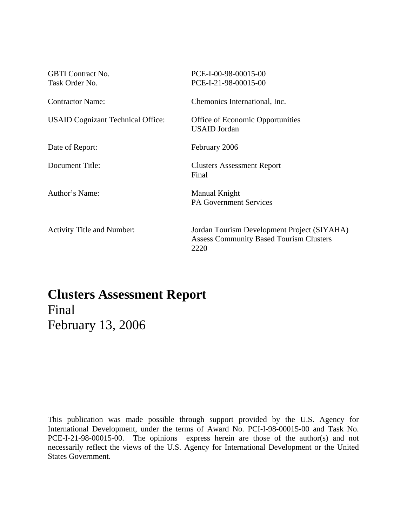| <b>GBTI</b> Contract No.<br>Task Order No. | PCE-I-00-98-00015-00<br>PCE-I-21-98-00015-00                                                          |
|--------------------------------------------|-------------------------------------------------------------------------------------------------------|
| <b>Contractor Name:</b>                    | Chemonics International, Inc.                                                                         |
| <b>USAID Cognizant Technical Office:</b>   | Office of Economic Opportunities<br><b>USAID</b> Jordan                                               |
| Date of Report:                            | February 2006                                                                                         |
| Document Title:                            | <b>Clusters Assessment Report</b><br>Final                                                            |
| Author's Name:                             | Manual Knight<br><b>PA Government Services</b>                                                        |
| <b>Activity Title and Number:</b>          | Jordan Tourism Development Project (SIYAHA)<br><b>Assess Community Based Tourism Clusters</b><br>2220 |

# **Clusters Assessment Report**  Final February 13, 2006

This publication was made possible through support provided by the U.S. Agency for International Development, under the terms of Award No. PCI-I-98-00015-00 and Task No. PCE-I-21-98-00015-00. The opinions express herein are those of the author(s) and not necessarily reflect the views of the U.S. Agency for International Development or the United States Government.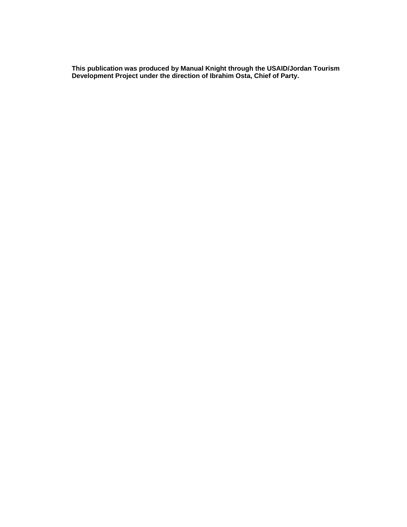**This publication was produced by Manual Knight through the USAID/Jordan Tourism Development Project under the direction of Ibrahim Osta, Chief of Party.**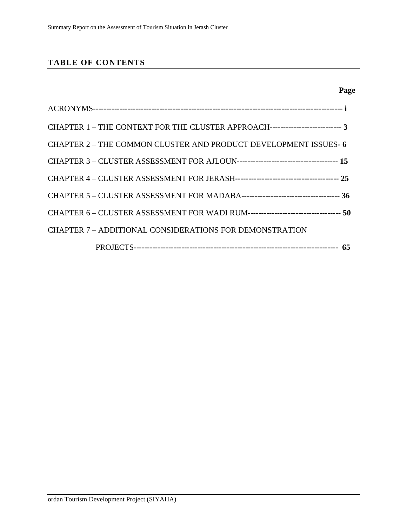# **TABLE OF CONTENTS**

| Page |  |
|------|--|

| CHAPTER 1 – THE CONTEXT FOR THE CLUSTER APPROACH--------------------------- 3 |  |
|-------------------------------------------------------------------------------|--|
| CHAPTER 2 – THE COMMON CLUSTER AND PRODUCT DEVELOPMENT ISSUES- 6              |  |
|                                                                               |  |
|                                                                               |  |
|                                                                               |  |
|                                                                               |  |
| CHAPTER 7 - ADDITIONAL CONSIDERATIONS FOR DEMONSTRATION                       |  |
|                                                                               |  |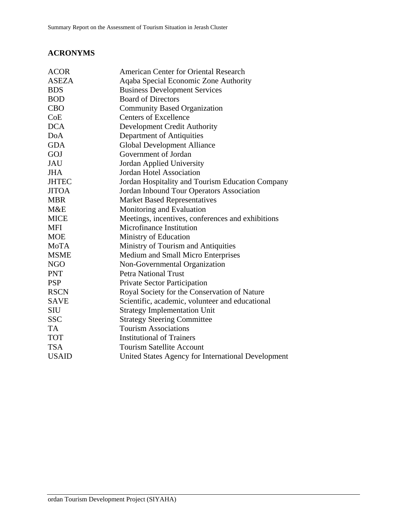# **ACRONYMS**

| <b>American Center for Oriental Research</b>       |
|----------------------------------------------------|
| Aqaba Special Economic Zone Authority              |
| <b>Business Development Services</b>               |
| <b>Board of Directors</b>                          |
| <b>Community Based Organization</b>                |
| <b>Centers of Excellence</b>                       |
| <b>Development Credit Authority</b>                |
| Department of Antiquities                          |
| <b>Global Development Alliance</b>                 |
| Government of Jordan                               |
| <b>Jordan Applied University</b>                   |
| <b>Jordan Hotel Association</b>                    |
| Jordan Hospitality and Tourism Education Company   |
| Jordan Inbound Tour Operators Association          |
| <b>Market Based Representatives</b>                |
| Monitoring and Evaluation                          |
| Meetings, incentives, conferences and exhibitions  |
| Microfinance Institution                           |
| Ministry of Education                              |
| Ministry of Tourism and Antiquities                |
| <b>Medium and Small Micro Enterprises</b>          |
| Non-Governmental Organization                      |
| <b>Petra National Trust</b>                        |
| Private Sector Participation                       |
| Royal Society for the Conservation of Nature       |
| Scientific, academic, volunteer and educational    |
| <b>Strategy Implementation Unit</b>                |
| <b>Strategy Steering Committee</b>                 |
| <b>Tourism Associations</b>                        |
| <b>Institutional of Trainers</b>                   |
| <b>Tourism Satellite Account</b>                   |
| United States Agency for International Development |
|                                                    |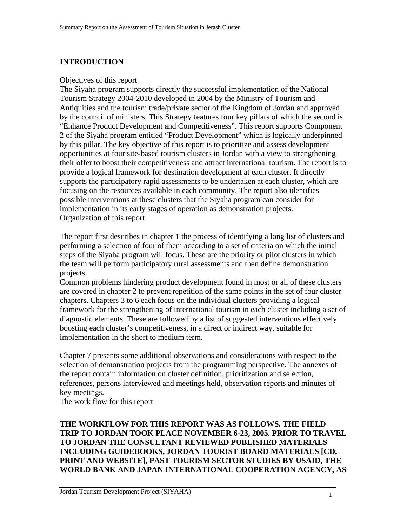# **INTRODUCTION**

#### Objectives of this report

The Siyaha program supports directly the successful implementation of the National Tourism Strategy 2004-2010 developed in 2004 by the Ministry of Tourism and Antiquities and the tourism trade/private sector of the Kingdom of Jordan and approved by the council of ministers. This Strategy features four key pillars of which the second is "Enhance Product Development and Competitiveness". This report supports Component 2 of the Siyaha program entitled "Product Development" which is logically underpinned by this pillar. The key objective of this report is to prioritize and assess development opportunities at four site-based tourism clusters in Jordan with a view to strengthening their offer to boost their competitiveness and attract international tourism. The report is to provide a logical framework for destination development at each cluster. It directly supports the participatory rapid assessments to be undertaken at each cluster, which are focusing on the resources available in each community. The report also identifies possible interventions at these clusters that the Siyaha program can consider for implementation in its early stages of operation as demonstration projects. Organization of this report

The report first describes in chapter 1 the process of identifying a long list of clusters and performing a selection of four of them according to a set of criteria on which the initial steps of the Siyaha program will focus. These are the priority or pilot clusters in which the team will perform participatory rural assessments and then define demonstration projects.

Common problems hindering product development found in most or all of these clusters are covered in chapter 2 to prevent repetition of the same points in the set of four cluster chapters. Chapters 3 to 6 each focus on the individual clusters providing a logical framework for the strengthening of international tourism in each cluster including a set of diagnostic elements. These are followed by a list of suggested interventions effectively boosting each cluster's competitiveness, in a direct or indirect way, suitable for implementation in the short to medium term.

Chapter 7 presents some additional observations and considerations with respect to the selection of demonstration projects from the programming perspective. The annexes of the report contain information on cluster definition, prioritization and selection, references, persons interviewed and meetings held, observation reports and minutes of key meetings.

The work flow for this report

#### **THE WORKFLOW FOR THIS REPORT WAS AS FOLLOWS. THE FIELD TRIP TO JORDAN TOOK PLACE NOVEMBER 6-23, 2005. PRIOR TO TRAVEL TO JORDAN THE CONSULTANT REVIEWED PUBLISHED MATERIALS INCLUDING GUIDEBOOKS, JORDAN TOURIST BOARD MATERIALS [CD, PRINT AND WEBSITE], PAST TOURISM SECTOR STUDIES BY USAID, THE WORLD BANK AND JAPAN INTERNATIONAL COOPERATION AGENCY, AS**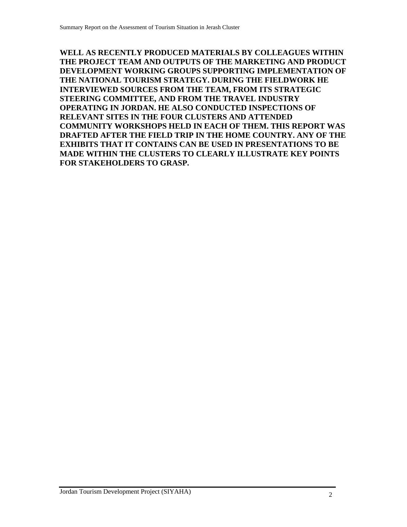**WELL AS RECENTLY PRODUCED MATERIALS BY COLLEAGUES WITHIN THE PROJECT TEAM AND OUTPUTS OF THE MARKETING AND PRODUCT DEVELOPMENT WORKING GROUPS SUPPORTING IMPLEMENTATION OF THE NATIONAL TOURISM STRATEGY. DURING THE FIELDWORK HE INTERVIEWED SOURCES FROM THE TEAM, FROM ITS STRATEGIC STEERING COMMITTEE, AND FROM THE TRAVEL INDUSTRY OPERATING IN JORDAN. HE ALSO CONDUCTED INSPECTIONS OF RELEVANT SITES IN THE FOUR CLUSTERS AND ATTENDED COMMUNITY WORKSHOPS HELD IN EACH OF THEM. THIS REPORT WAS DRAFTED AFTER THE FIELD TRIP IN THE HOME COUNTRY. ANY OF THE EXHIBITS THAT IT CONTAINS CAN BE USED IN PRESENTATIONS TO BE MADE WITHIN THE CLUSTERS TO CLEARLY ILLUSTRATE KEY POINTS FOR STAKEHOLDERS TO GRASP.**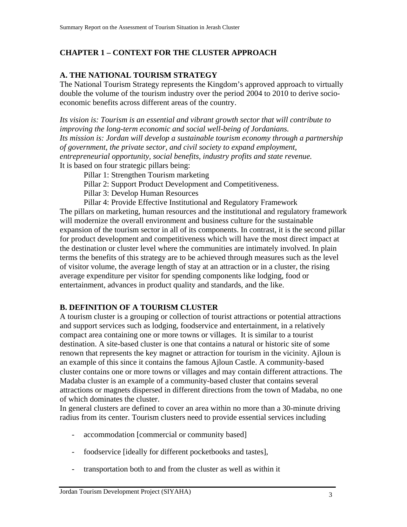# **CHAPTER 1 – CONTEXT FOR THE CLUSTER APPROACH**

# **A. THE NATIONAL TOURISM STRATEGY**

The National Tourism Strategy represents the Kingdom's approved approach to virtually double the volume of the tourism industry over the period 2004 to 2010 to derive socioeconomic benefits across different areas of the country.

*Its vision is: Tourism is an essential and vibrant growth sector that will contribute to improving the long-term economic and social well-being of Jordanians. Its mission is: Jordan will develop a sustainable tourism economy through a partnership of government, the private sector, and civil society to expand employment, entrepreneurial opportunity, social benefits, industry profits and state revenue.*  It is based on four strategic pillars being:

- Pillar 1: Strengthen Tourism marketing
- Pillar 2: Support Product Development and Competitiveness.
- Pillar 3: Develop Human Resources
- Pillar 4: Provide Effective Institutional and Regulatory Framework

The pillars on marketing, human resources and the institutional and regulatory framework will modernize the overall environment and business culture for the sustainable expansion of the tourism sector in all of its components. In contrast, it is the second pillar for product development and competitiveness which will have the most direct impact at the destination or cluster level where the communities are intimately involved. In plain terms the benefits of this strategy are to be achieved through measures such as the level of visitor volume, the average length of stay at an attraction or in a cluster, the rising average expenditure per visitor for spending components like lodging, food or entertainment, advances in product quality and standards, and the like.

### **B. DEFINITION OF A TOURISM CLUSTER**

A tourism cluster is a grouping or collection of tourist attractions or potential attractions and support services such as lodging, foodservice and entertainment, in a relatively compact area containing one or more towns or villages. It is similar to a tourist destination. A site-based cluster is one that contains a natural or historic site of some renown that represents the key magnet or attraction for tourism in the vicinity. Ajloun is an example of this since it contains the famous Ajloun Castle. A community-based cluster contains one or more towns or villages and may contain different attractions. The Madaba cluster is an example of a community-based cluster that contains several attractions or magnets dispersed in different directions from the town of Madaba, no one of which dominates the cluster.

In general clusters are defined to cover an area within no more than a 30-minute driving radius from its center. Tourism clusters need to provide essential services including

- accommodation [commercial or community based]
- foodservice [ideally for different pocketbooks and tastes],
- transportation both to and from the cluster as well as within it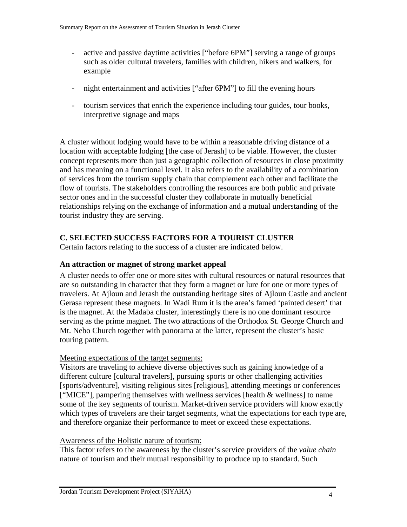- active and passive daytime activities ["before 6PM"] serving a range of groups such as older cultural travelers, families with children, hikers and walkers, for example
- night entertainment and activities ["after 6PM"] to fill the evening hours
- tourism services that enrich the experience including tour guides, tour books, interpretive signage and maps

A cluster without lodging would have to be within a reasonable driving distance of a location with acceptable lodging [the case of Jerash] to be viable. However, the cluster concept represents more than just a geographic collection of resources in close proximity and has meaning on a functional level. It also refers to the availability of a combination of services from the tourism supply chain that complement each other and facilitate the flow of tourists. The stakeholders controlling the resources are both public and private sector ones and in the successful cluster they collaborate in mutually beneficial relationships relying on the exchange of information and a mutual understanding of the tourist industry they are serving.

### **C. SELECTED SUCCESS FACTORS FOR A TOURIST CLUSTER**

Certain factors relating to the success of a cluster are indicated below.

#### **An attraction or magnet of strong market appeal**

A cluster needs to offer one or more sites with cultural resources or natural resources that are so outstanding in character that they form a magnet or lure for one or more types of travelers. At Ajloun and Jerash the outstanding heritage sites of Ajloun Castle and ancient Gerasa represent these magnets. In Wadi Rum it is the area's famed 'painted desert' that is the magnet. At the Madaba cluster, interestingly there is no one dominant resource serving as the prime magnet. The two attractions of the Orthodox St. George Church and Mt. Nebo Church together with panorama at the latter, represent the cluster's basic touring pattern.

#### Meeting expectations of the target segments:

Visitors are traveling to achieve diverse objectives such as gaining knowledge of a different culture [cultural travelers], pursuing sports or other challenging activities [sports/adventure], visiting religious sites [religious], attending meetings or conferences ["MICE"], pampering themselves with wellness services [health & wellness] to name some of the key segments of tourism. Market-driven service providers will know exactly which types of travelers are their target segments, what the expectations for each type are, and therefore organize their performance to meet or exceed these expectations.

#### Awareness of the Holistic nature of tourism:

This factor refers to the awareness by the cluster's service providers of the *value chain*  nature of tourism and their mutual responsibility to produce up to standard. Such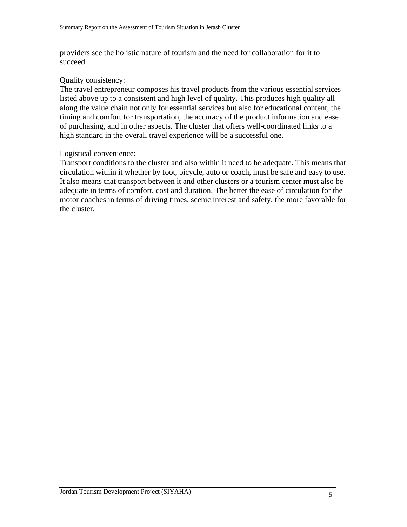providers see the holistic nature of tourism and the need for collaboration for it to succeed.

#### Quality consistency:

The travel entrepreneur composes his travel products from the various essential services listed above up to a consistent and high level of quality. This produces high quality all along the value chain not only for essential services but also for educational content, the timing and comfort for transportation, the accuracy of the product information and ease of purchasing, and in other aspects. The cluster that offers well-coordinated links to a high standard in the overall travel experience will be a successful one.

#### Logistical convenience:

Transport conditions to the cluster and also within it need to be adequate. This means that circulation within it whether by foot, bicycle, auto or coach, must be safe and easy to use. It also means that transport between it and other clusters or a tourism center must also be adequate in terms of comfort, cost and duration. The better the ease of circulation for the motor coaches in terms of driving times, scenic interest and safety, the more favorable for the cluster.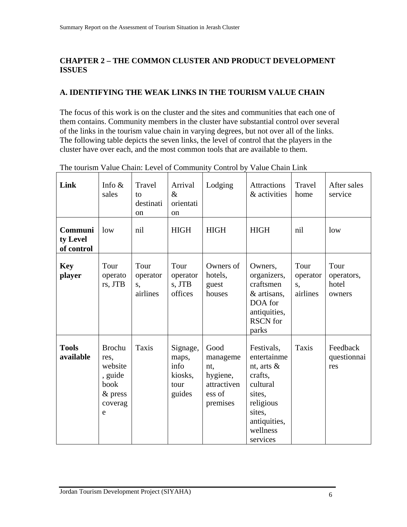# **CHAPTER 2 – THE COMMON CLUSTER AND PRODUCT DEVELOPMENT ISSUES**

# **A. IDENTIFYING THE WEAK LINKS IN THE TOURISM VALUE CHAIN**

The focus of this work is on the cluster and the sites and communities that each one of them contains. Community members in the cluster have substantial control over several of the links in the tourism value chain in varying degrees, but not over all of the links. The following table depicts the seven links, the level of control that the players in the cluster have over each, and the most common tools that are available to them.

| Link                              | Info $\&$<br>sales                                                               | <b>Travel</b><br>to<br>destinati<br><sub>on</sub> | Arrival<br>$\&$<br>orientati<br><sub>on</sub>          | Lodging                                                                  | <b>Attractions</b><br>& activities                                                                                                         | Travel<br>home                                | After sales<br>service                |
|-----------------------------------|----------------------------------------------------------------------------------|---------------------------------------------------|--------------------------------------------------------|--------------------------------------------------------------------------|--------------------------------------------------------------------------------------------------------------------------------------------|-----------------------------------------------|---------------------------------------|
| Communi<br>ty Level<br>of control | low                                                                              | nil                                               | <b>HIGH</b>                                            | <b>HIGH</b>                                                              | <b>HIGH</b>                                                                                                                                | nil                                           | low                                   |
| <b>Key</b><br>player              | Tour<br>operato<br>rs, JTB                                                       | Tour<br>operator<br>S,<br>airlines                | Tour<br>operator<br>s, JTB<br>offices                  | Owners of<br>hotels,<br>guest<br>houses                                  | Owners,<br>organizers,<br>craftsmen<br>& artisans,<br>DOA for<br>antiquities,<br><b>RSCN</b> for<br>parks                                  | Tour<br>operator<br>$S_{\bullet}$<br>airlines | Tour<br>operators,<br>hotel<br>owners |
| <b>Tools</b><br>available         | <b>Brochu</b><br>res,<br>website<br>, guide<br>book<br>$&$ press<br>coverag<br>e | Taxis                                             | Signage,<br>maps,<br>info<br>kiosks,<br>tour<br>guides | Good<br>manageme<br>nt,<br>hygiene,<br>attractiven<br>ess of<br>premises | Festivals,<br>entertainme<br>nt, arts $\&$<br>crafts,<br>cultural<br>sites,<br>religious<br>sites,<br>antiquities,<br>wellness<br>services | <b>Taxis</b>                                  | Feedback<br>questionnai<br>res        |

The tourism Value Chain: Level of Community Control by Value Chain Link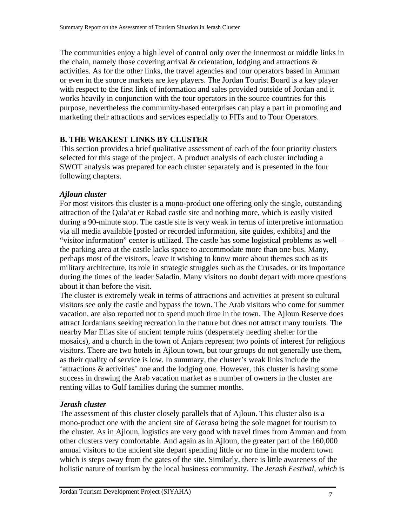The communities enjoy a high level of control only over the innermost or middle links in the chain, namely those covering arrival  $\&$  orientation, lodging and attractions  $\&$ activities. As for the other links, the travel agencies and tour operators based in Amman or even in the source markets are key players. The Jordan Tourist Board is a key player with respect to the first link of information and sales provided outside of Jordan and it works heavily in conjunction with the tour operators in the source countries for this purpose, nevertheless the community-based enterprises can play a part in promoting and marketing their attractions and services especially to FITs and to Tour Operators.

### **B. THE WEAKEST LINKS BY CLUSTER**

This section provides a brief qualitative assessment of each of the four priority clusters selected for this stage of the project. A product analysis of each cluster including a SWOT analysis was prepared for each cluster separately and is presented in the four following chapters.

### *Ajloun cluster*

For most visitors this cluster is a mono-product one offering only the single, outstanding attraction of the Qala'at er Rabad castle site and nothing more, which is easily visited during a 90-minute stop. The castle site is very weak in terms of interpretive information via all media available [posted or recorded information, site guides, exhibits] and the "visitor information" center is utilized. The castle has some logistical problems as well – the parking area at the castle lacks space to accommodate more than one bus. Many, perhaps most of the visitors, leave it wishing to know more about themes such as its military architecture, its role in strategic struggles such as the Crusades, or its importance during the times of the leader Saladin. Many visitors no doubt depart with more questions about it than before the visit.

The cluster is extremely weak in terms of attractions and activities at present so cultural visitors see only the castle and bypass the town. The Arab visitors who come for summer vacation, are also reported not to spend much time in the town. The Ajloun Reserve does attract Jordanians seeking recreation in the nature but does not attract many tourists. The nearby Mar Elias site of ancient temple ruins (desperately needing shelter for the mosaics), and a church in the town of Anjara represent two points of interest for religious visitors. There are two hotels in Ajloun town, but tour groups do not generally use them, as their quality of service is low. In summary, the cluster's weak links include the 'attractions & activities' one and the lodging one. However, this cluster is having some success in drawing the Arab vacation market as a number of owners in the cluster are renting villas to Gulf families during the summer months.

### *Jerash cluster*

The assessment of this cluster closely parallels that of Ajloun. This cluster also is a mono-product one with the ancient site of *Gerasa* being the sole magnet for tourism to the cluster. As in Ajloun, logistics are very good with travel times from Amman and from other clusters very comfortable. And again as in Ajloun, the greater part of the 160,000 annual visitors to the ancient site depart spending little or no time in the modern town which is steps away from the gates of the site. Similarly, there is little awareness of the holistic nature of tourism by the local business community. The *Jerash Festival, which* is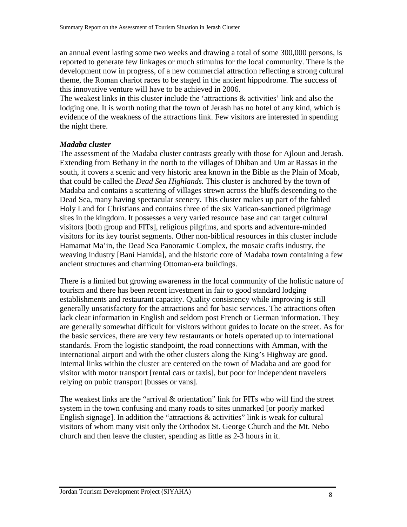an annual event lasting some two weeks and drawing a total of some 300,000 persons, is reported to generate few linkages or much stimulus for the local community. There is the development now in progress, of a new commercial attraction reflecting a strong cultural theme, the Roman chariot races to be staged in the ancient hippodrome. The success of this innovative venture will have to be achieved in 2006.

The weakest links in this cluster include the 'attractions & activities' link and also the lodging one. It is worth noting that the town of Jerash has no hotel of any kind, which is evidence of the weakness of the attractions link. Few visitors are interested in spending the night there.

#### *Madaba cluster*

The assessment of the Madaba cluster contrasts greatly with those for Ajloun and Jerash. Extending from Bethany in the north to the villages of Dhiban and Um ar Rassas in the south, it covers a scenic and very historic area known in the Bible as the Plain of Moab, that could be called the *Dead Sea Highlands.* This cluster is anchored by the town of Madaba and contains a scattering of villages strewn across the bluffs descending to the Dead Sea, many having spectacular scenery. This cluster makes up part of the fabled Holy Land for Christians and contains three of the six Vatican-sanctioned pilgrimage sites in the kingdom. It possesses a very varied resource base and can target cultural visitors [both group and FITs], religious pilgrims, and sports and adventure-minded visitors for its key tourist segments. Other non-biblical resources in this cluster include Hamamat Ma'in, the Dead Sea Panoramic Complex, the mosaic crafts industry, the weaving industry [Bani Hamida], and the historic core of Madaba town containing a few ancient structures and charming Ottoman-era buildings.

There is a limited but growing awareness in the local community of the holistic nature of tourism and there has been recent investment in fair to good standard lodging establishments and restaurant capacity. Quality consistency while improving is still generally unsatisfactory for the attractions and for basic services. The attractions often lack clear information in English and seldom post French or German information. They are generally somewhat difficult for visitors without guides to locate on the street. As for the basic services, there are very few restaurants or hotels operated up to international standards. From the logistic standpoint, the road connections with Amman, with the international airport and with the other clusters along the King's Highway are good. Internal links within the cluster are centered on the town of Madaba and are good for visitor with motor transport [rental cars or taxis], but poor for independent travelers relying on pubic transport [busses or vans].

The weakest links are the "arrival & orientation" link for FITs who will find the street system in the town confusing and many roads to sites unmarked [or poorly marked English signage]. In addition the "attractions  $\&$  activities" link is weak for cultural visitors of whom many visit only the Orthodox St. George Church and the Mt. Nebo church and then leave the cluster, spending as little as 2-3 hours in it.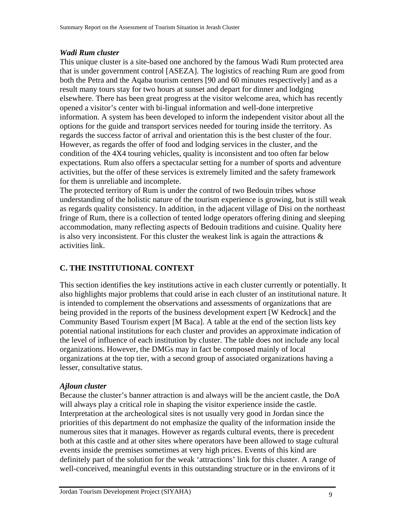#### *Wadi Rum cluster*

This unique cluster is a site-based one anchored by the famous Wadi Rum protected area that is under government control [ASEZA]. The logistics of reaching Rum are good from both the Petra and the Aqaba tourism centers [90 and 60 minutes respectively] and as a result many tours stay for two hours at sunset and depart for dinner and lodging elsewhere. There has been great progress at the visitor welcome area, which has recently opened a visitor's center with bi-lingual information and well-done interpretive information. A system has been developed to inform the independent visitor about all the options for the guide and transport services needed for touring inside the territory. As regards the success factor of arrival and orientation this is the best cluster of the four. However, as regards the offer of food and lodging services in the cluster, and the condition of the 4X4 touring vehicles, quality is inconsistent and too often far below expectations. Rum also offers a spectacular setting for a number of sports and adventure activities, but the offer of these services is extremely limited and the safety framework for them is unreliable and incomplete.

The protected territory of Rum is under the control of two Bedouin tribes whose understanding of the holistic nature of the tourism experience is growing, but is still weak as regards quality consistency. In addition, in the adjacent village of Disi on the northeast fringe of Rum, there is a collection of tented lodge operators offering dining and sleeping accommodation, many reflecting aspects of Bedouin traditions and cuisine. Quality here is also very inconsistent. For this cluster the weakest link is again the attractions  $\&$ activities link.

# **C. THE INSTITUTIONAL CONTEXT**

This section identifies the key institutions active in each cluster currently or potentially. It also highlights major problems that could arise in each cluster of an institutional nature. It is intended to complement the observations and assessments of organizations that are being provided in the reports of the business development expert [W Kedrock] and the Community Based Tourism expert [M Baca]. A table at the end of the section lists key potential national institutions for each cluster and provides an approximate indication of the level of influence of each institution by cluster. The table does not include any local organizations. However, the DMGs may in fact be composed mainly of local organizations at the top tier, with a second group of associated organizations having a lesser, consultative status.

#### *Ajloun cluster*

Because the cluster's banner attraction is and always will be the ancient castle, the DoA will always play a critical role in shaping the visitor experience inside the castle. Interpretation at the archeological sites is not usually very good in Jordan since the priorities of this department do not emphasize the quality of the information inside the numerous sites that it manages. However as regards cultural events, there is precedent both at this castle and at other sites where operators have been allowed to stage cultural events inside the premises sometimes at very high prices. Events of this kind are definitely part of the solution for the weak 'attractions' link for this cluster. A range of well-conceived, meaningful events in this outstanding structure or in the environs of it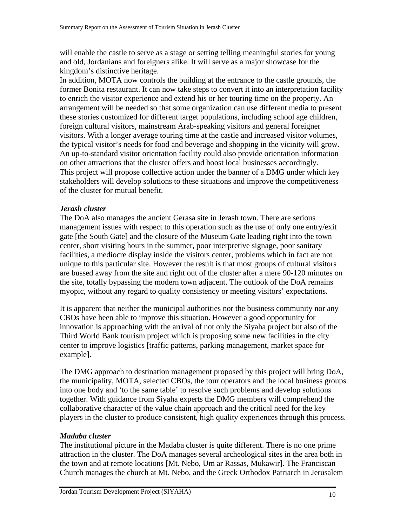will enable the castle to serve as a stage or setting telling meaningful stories for young and old, Jordanians and foreigners alike. It will serve as a major showcase for the kingdom's distinctive heritage.

In addition, MOTA now controls the building at the entrance to the castle grounds, the former Bonita restaurant. It can now take steps to convert it into an interpretation facility to enrich the visitor experience and extend his or her touring time on the property. An arrangement will be needed so that some organization can use different media to present these stories customized for different target populations, including school age children, foreign cultural visitors, mainstream Arab-speaking visitors and general foreigner visitors. With a longer average touring time at the castle and increased visitor volumes, the typical visitor's needs for food and beverage and shopping in the vicinity will grow. An up-to-standard visitor orientation facility could also provide orientation information on other attractions that the cluster offers and boost local businesses accordingly. This project will propose collective action under the banner of a DMG under which key stakeholders will develop solutions to these situations and improve the competitiveness of the cluster for mutual benefit.

#### *Jerash cluster*

The DoA also manages the ancient Gerasa site in Jerash town. There are serious management issues with respect to this operation such as the use of only one entry/exit gate [the South Gate] and the closure of the Museum Gate leading right into the town center, short visiting hours in the summer, poor interpretive signage, poor sanitary facilities, a mediocre display inside the visitors center, problems which in fact are not unique to this particular site. However the result is that most groups of cultural visitors are bussed away from the site and right out of the cluster after a mere 90-120 minutes on the site, totally bypassing the modern town adjacent. The outlook of the DoA remains myopic, without any regard to quality consistency or meeting visitors' expectations.

It is apparent that neither the municipal authorities nor the business community nor any CBOs have been able to improve this situation. However a good opportunity for innovation is approaching with the arrival of not only the Siyaha project but also of the Third World Bank tourism project which is proposing some new facilities in the city center to improve logistics [traffic patterns, parking management, market space for example].

The DMG approach to destination management proposed by this project will bring DoA, the municipality, MOTA, selected CBOs, the tour operators and the local business groups into one body and 'to the same table' to resolve such problems and develop solutions together. With guidance from Siyaha experts the DMG members will comprehend the collaborative character of the value chain approach and the critical need for the key players in the cluster to produce consistent, high quality experiences through this process.

#### *Madaba cluster*

The institutional picture in the Madaba cluster is quite different. There is no one prime attraction in the cluster. The DoA manages several archeological sites in the area both in the town and at remote locations [Mt. Nebo, Um ar Rassas, Mukawir]. The Franciscan Church manages the church at Mt. Nebo, and the Greek Orthodox Patriarch in Jerusalem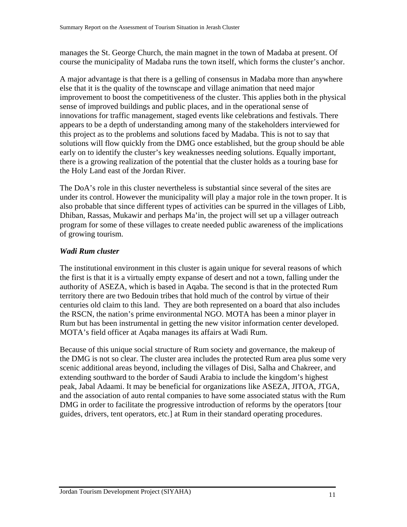manages the St. George Church, the main magnet in the town of Madaba at present. Of course the municipality of Madaba runs the town itself, which forms the cluster's anchor.

A major advantage is that there is a gelling of consensus in Madaba more than anywhere else that it is the quality of the townscape and village animation that need major improvement to boost the competitiveness of the cluster. This applies both in the physical sense of improved buildings and public places, and in the operational sense of innovations for traffic management, staged events like celebrations and festivals. There appears to be a depth of understanding among many of the stakeholders interviewed for this project as to the problems and solutions faced by Madaba. This is not to say that solutions will flow quickly from the DMG once established, but the group should be able early on to identify the cluster's key weaknesses needing solutions. Equally important, there is a growing realization of the potential that the cluster holds as a touring base for the Holy Land east of the Jordan River.

The DoA's role in this cluster nevertheless is substantial since several of the sites are under its control. However the municipality will play a major role in the town proper. It is also probable that since different types of activities can be spurred in the villages of Libb, Dhiban, Rassas, Mukawir and perhaps Ma'in, the project will set up a villager outreach program for some of these villages to create needed public awareness of the implications of growing tourism.

### *Wadi Rum cluster*

The institutional environment in this cluster is again unique for several reasons of which the first is that it is a virtually empty expanse of desert and not a town, falling under the authority of ASEZA, which is based in Aqaba. The second is that in the protected Rum territory there are two Bedouin tribes that hold much of the control by virtue of their centuries old claim to this land. They are both represented on a board that also includes the RSCN, the nation's prime environmental NGO. MOTA has been a minor player in Rum but has been instrumental in getting the new visitor information center developed. MOTA's field officer at Aqaba manages its affairs at Wadi Rum.

Because of this unique social structure of Rum society and governance, the makeup of the DMG is not so clear. The cluster area includes the protected Rum area plus some very scenic additional areas beyond, including the villages of Disi, Salha and Chakreer, and extending southward to the border of Saudi Arabia to include the kingdom's highest peak, Jabal Adaami. It may be beneficial for organizations like ASEZA, JITOA, JTGA, and the association of auto rental companies to have some associated status with the Rum DMG in order to facilitate the progressive introduction of reforms by the operators [tour guides, drivers, tent operators, etc.] at Rum in their standard operating procedures.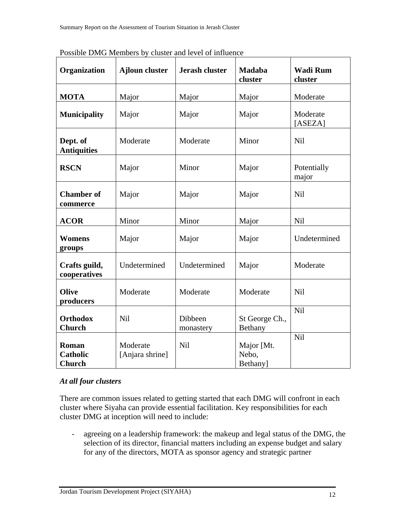| Organization                              | <b>Ajloun cluster</b>       | <b>Jerash cluster</b> | <b>Madaba</b><br>cluster         | <b>Wadi Rum</b><br>cluster |
|-------------------------------------------|-----------------------------|-----------------------|----------------------------------|----------------------------|
| <b>MOTA</b>                               | Major                       | Major                 | Major                            | Moderate                   |
| <b>Municipality</b>                       | Major                       | Major                 | Major                            | Moderate<br>[ASEZA]        |
| Dept. of<br><b>Antiquities</b>            | Moderate                    | Moderate              | Minor                            | Nil                        |
| <b>RSCN</b>                               | Major                       | Minor                 | Major                            | Potentially<br>major       |
| <b>Chamber of</b><br>commerce             | Major                       | Major                 | Major                            | <b>Nil</b>                 |
| <b>ACOR</b>                               | Minor                       | Minor                 | Major                            | <b>Nil</b>                 |
| <b>Womens</b><br>groups                   | Major                       | Major                 | Major                            | Undetermined               |
| Crafts guild,<br>cooperatives             | Undetermined                | Undetermined          | Major                            | Moderate                   |
| <b>Olive</b><br>producers                 | Moderate                    | Moderate              | Moderate                         | Nil                        |
| <b>Orthodox</b><br><b>Church</b>          | Nil                         | Dibbeen<br>monastery  | St George Ch.,<br><b>Bethany</b> | Nil                        |
| Roman<br><b>Catholic</b><br><b>Church</b> | Moderate<br>[Anjara shrine] | Nil                   | Major [Mt.<br>Nebo,<br>Bethany]  | Nil                        |

Possible DMG Members by cluster and level of influence

### *At all four clusters*

There are common issues related to getting started that each DMG will confront in each cluster where Siyaha can provide essential facilitation. Key responsibilities for each cluster DMG at inception will need to include:

- agreeing on a leadership framework: the makeup and legal status of the DMG, the selection of its director, financial matters including an expense budget and salary for any of the directors, MOTA as sponsor agency and strategic partner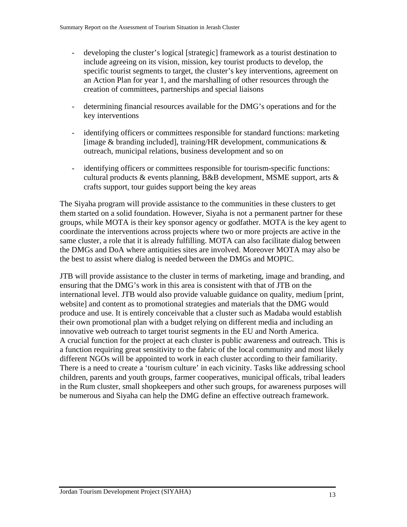- developing the cluster's logical [strategic] framework as a tourist destination to include agreeing on its vision, mission, key tourist products to develop, the specific tourist segments to target, the cluster's key interventions, agreement on an Action Plan for year 1, and the marshalling of other resources through the creation of committees, partnerships and special liaisons
- determining financial resources available for the DMG's operations and for the key interventions
- identifying officers or committees responsible for standard functions: marketing [image  $&$  branding included], training/HR development, communications  $&$ outreach, municipal relations, business development and so on
- identifying officers or committees responsible for tourism-specific functions: cultural products & events planning, B&B development, MSME support, arts & crafts support, tour guides support being the key areas

The Siyaha program will provide assistance to the communities in these clusters to get them started on a solid foundation. However, Siyaha is not a permanent partner for these groups, while MOTA is their key sponsor agency or godfather. MOTA is the key agent to coordinate the interventions across projects where two or more projects are active in the same cluster, a role that it is already fulfilling. MOTA can also facilitate dialog between the DMGs and DoA where antiquities sites are involved. Moreover MOTA may also be the best to assist where dialog is needed between the DMGs and MOPIC.

JTB will provide assistance to the cluster in terms of marketing, image and branding, and ensuring that the DMG's work in this area is consistent with that of JTB on the international level. JTB would also provide valuable guidance on quality, medium [print, website] and content as to promotional strategies and materials that the DMG would produce and use. It is entirely conceivable that a cluster such as Madaba would establish their own promotional plan with a budget relying on different media and including an innovative web outreach to target tourist segments in the EU and North America. A crucial function for the project at each cluster is public awareness and outreach. This is a function requiring great sensitivity to the fabric of the local community and most likely different NGOs will be appointed to work in each cluster according to their familiarity. There is a need to create a 'tourism culture' in each vicinity. Tasks like addressing school children, parents and youth groups, farmer cooperatives, municipal officals, tribal leaders in the Rum cluster, small shopkeepers and other such groups, for awareness purposes will be numerous and Siyaha can help the DMG define an effective outreach framework.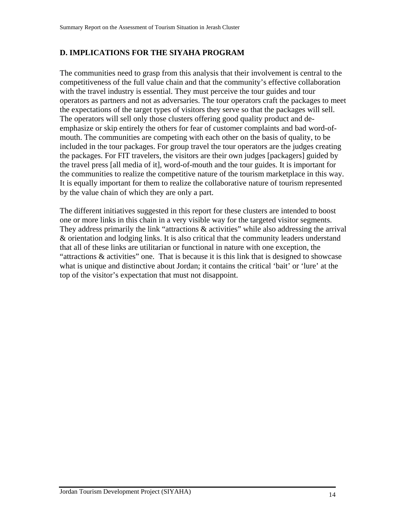# **D. IMPLICATIONS FOR THE SIYAHA PROGRAM**

The communities need to grasp from this analysis that their involvement is central to the competitiveness of the full value chain and that the community's effective collaboration with the travel industry is essential. They must perceive the tour guides and tour operators as partners and not as adversaries. The tour operators craft the packages to meet the expectations of the target types of visitors they serve so that the packages will sell. The operators will sell only those clusters offering good quality product and deemphasize or skip entirely the others for fear of customer complaints and bad word-ofmouth. The communities are competing with each other on the basis of quality, to be included in the tour packages. For group travel the tour operators are the judges creating the packages. For FIT travelers, the visitors are their own judges [packagers] guided by the travel press [all media of it], word-of-mouth and the tour guides. It is important for the communities to realize the competitive nature of the tourism marketplace in this way. It is equally important for them to realize the collaborative nature of tourism represented by the value chain of which they are only a part.

The different initiatives suggested in this report for these clusters are intended to boost one or more links in this chain in a very visible way for the targeted visitor segments. They address primarily the link "attractions & activities" while also addressing the arrival & orientation and lodging links. It is also critical that the community leaders understand that all of these links are utilitarian or functional in nature with one exception, the "attractions & activities" one. That is because it is this link that is designed to showcase what is unique and distinctive about Jordan; it contains the critical 'bait' or 'lure' at the top of the visitor's expectation that must not disappoint.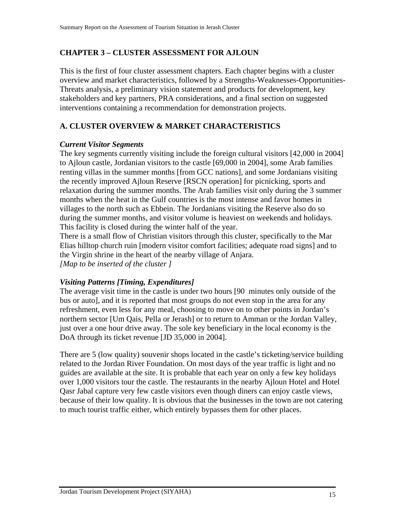# **CHAPTER 3 – CLUSTER ASSESSMENT FOR AJLOUN**

This is the first of four cluster assessment chapters. Each chapter begins with a cluster overview and market characteristics, followed by a Strengths-Weaknesses-Opportunities-Threats analysis, a preliminary vision statement and products for development, key stakeholders and key partners, PRA considerations, and a final section on suggested interventions containing a recommendation for demonstration projects.

# **A. CLUSTER OVERVIEW & MARKET CHARACTERISTICS**

### *Current Visitor Segments*

The key segments currently visiting include the foreign cultural visitors [42,000 in 2004] to Ajloun castle, Jordanian visitors to the castle [69,000 in 2004], some Arab families renting villas in the summer months [from GCC nations], and some Jordanians visiting the recently improved Ajloun Reserve [RSCN operation] for picnicking, sports and relaxation during the summer months. The Arab families visit only during the 3 summer months when the heat in the Gulf countries is the most intense and favor homes in villages to the north such as Ebbein. The Jordanians visiting the Reserve also do so during the summer months, and visitor volume is heaviest on weekends and holidays. This facility is closed during the winter half of the year.

There is a small flow of Christian visitors through this cluster, specifically to the Mar Elias hilltop church ruin [modern visitor comfort facilities; adequate road signs] and to the Virgin shrine in the heart of the nearby village of Anjara. *[Map to be inserted of the cluster ]* 

### *Visiting Patterns [Timing, Expenditures]*

The average visit time in the castle is under two hours [90 minutes only outside of the bus or auto], and it is reported that most groups do not even stop in the area for any refreshment, even less for any meal, choosing to move on to other points in Jordan's northern sector [Um Qais, Pella or Jerash] or to return to Amman or the Jordan Valley, just over a one hour drive away. The sole key beneficiary in the local economy is the DoA through its ticket revenue [JD 35,000 in 2004].

There are 5 (low quality) souvenir shops located in the castle's ticketing/service building related to the Jordan River Foundation. On most days of the year traffic is light and no guides are available at the site. It is probable that each year on only a few key holidays over 1,000 visitors tour the castle. The restaurants in the nearby Ajloun Hotel and Hotel Qasr Jabal capture very few castle visitors even though diners can enjoy castle views, because of their low quality. It is obvious that the businesses in the town are not catering to much tourist traffic either, which entirely bypasses them for other places.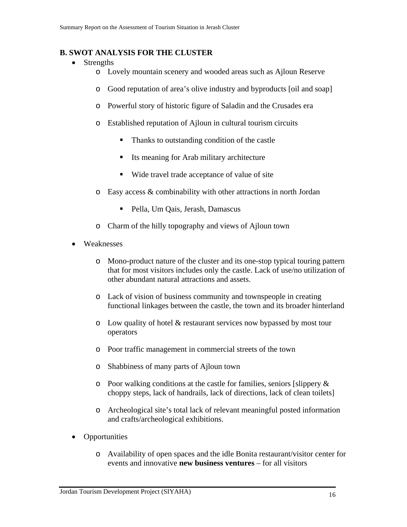### **B. SWOT ANALYSIS FOR THE CLUSTER**

- Strengths
	- o Lovely mountain scenery and wooded areas such as Ajloun Reserve
	- o Good reputation of area's olive industry and byproducts [oil and soap]
	- o Powerful story of historic figure of Saladin and the Crusades era
	- o Established reputation of Ajloun in cultural tourism circuits
		- Thanks to outstanding condition of the castle
		- Its meaning for Arab military architecture
		- Wide travel trade acceptance of value of site
	- o Easy access & combinability with other attractions in north Jordan
		- Pella, Um Qais, Jerash, Damascus
	- o Charm of the hilly topography and views of Ajloun town
- Weaknesses
	- o Mono-product nature of the cluster and its one-stop typical touring pattern that for most visitors includes only the castle. Lack of use/no utilization of other abundant natural attractions and assets.
	- o Lack of vision of business community and townspeople in creating functional linkages between the castle, the town and its broader hinterland
	- o Low quality of hotel & restaurant services now bypassed by most tour operators
	- o Poor traffic management in commercial streets of the town
	- o Shabbiness of many parts of Ajloun town
	- o Poor walking conditions at the castle for families, seniors [slippery & choppy steps, lack of handrails, lack of directions, lack of clean toilets]
	- o Archeological site's total lack of relevant meaningful posted information and crafts/archeological exhibitions.
- Opportunities
	- o Availability of open spaces and the idle Bonita restaurant/visitor center for events and innovative **new business ventures** – for all visitors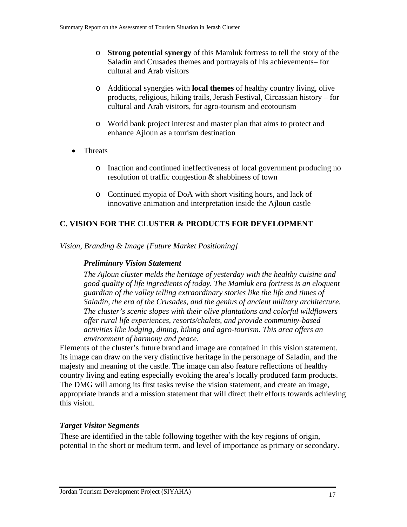- o **Strong potential synergy** of this Mamluk fortress to tell the story of the Saladin and Crusades themes and portrayals of his achievements– for cultural and Arab visitors
- o Additional synergies with **local themes** of healthy country living, olive products, religious, hiking trails, Jerash Festival, Circassian history – for cultural and Arab visitors, for agro-tourism and ecotourism
- o World bank project interest and master plan that aims to protect and enhance Ajloun as a tourism destination
- Threats
	- o Inaction and continued ineffectiveness of local government producing no resolution of traffic congestion & shabbiness of town
	- o Continued myopia of DoA with short visiting hours, and lack of innovative animation and interpretation inside the Ajloun castle

# **C. VISION FOR THE CLUSTER & PRODUCTS FOR DEVELOPMENT**

*Vision, Branding & Image [Future Market Positioning]* 

### *Preliminary Vision Statement*

*The Ajloun cluster melds the heritage of yesterday with the healthy cuisine and good quality of life ingredients of today. The Mamluk era fortress is an eloquent guardian of the valley telling extraordinary stories like the life and times of Saladin, the era of the Crusades, and the genius of ancient military architecture. The cluster's scenic slopes with their olive plantations and colorful wildflowers offer rural life experiences, resorts/chalets, and provide community-based activities like lodging, dining, hiking and agro-tourism. This area offers an environment of harmony and peace.*

Elements of the cluster's future brand and image are contained in this vision statement. Its image can draw on the very distinctive heritage in the personage of Saladin, and the majesty and meaning of the castle. The image can also feature reflections of healthy country living and eating especially evoking the area's locally produced farm products. The DMG will among its first tasks revise the vision statement, and create an image, appropriate brands and a mission statement that will direct their efforts towards achieving this vision.

### *Target Visitor Segments*

These are identified in the table following together with the key regions of origin, potential in the short or medium term, and level of importance as primary or secondary.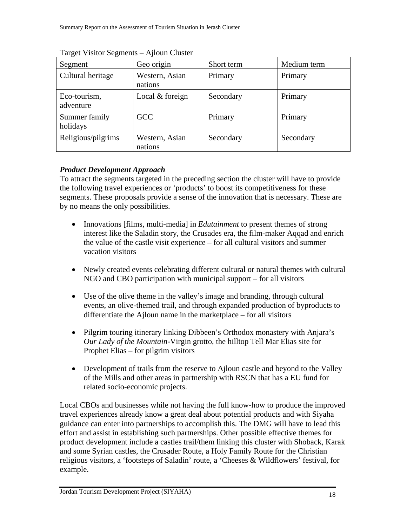| Segment                   | Geo origin                | Short term | Medium term |
|---------------------------|---------------------------|------------|-------------|
| Cultural heritage         | Western, Asian<br>nations | Primary    | Primary     |
| Eco-tourism,<br>adventure | Local & foreign           | Secondary  | Primary     |
| Summer family<br>holidays | <b>GCC</b>                | Primary    | Primary     |
| Religious/pilgrims        | Western, Asian<br>nations | Secondary  | Secondary   |

Target Visitor Segments – Ajloun Cluster

### *Product Development Approach*

To attract the segments targeted in the preceding section the cluster will have to provide the following travel experiences or 'products' to boost its competitiveness for these segments. These proposals provide a sense of the innovation that is necessary. These are by no means the only possibilities.

- Innovations [films, multi-media] in *Edutainment* to present themes of strong interest like the Saladin story, the Crusades era, the film-maker Aqqad and enrich the value of the castle visit experience – for all cultural visitors and summer vacation visitors
- Newly created events celebrating different cultural or natural themes with cultural NGO and CBO participation with municipal support – for all visitors
- Use of the olive theme in the valley's image and branding, through cultural events, an olive-themed trail, and through expanded production of byproducts to differentiate the Ajloun name in the marketplace – for all visitors
- Pilgrim touring itinerary linking Dibbeen's Orthodox monastery with Anjara's *Our Lady of the Mountain*-Virgin grotto, the hilltop Tell Mar Elias site for Prophet Elias – for pilgrim visitors
- Development of trails from the reserve to Ajloun castle and beyond to the Valley of the Mills and other areas in partnership with RSCN that has a EU fund for related socio-economic projects.

Local CBOs and businesses while not having the full know-how to produce the improved travel experiences already know a great deal about potential products and with Siyaha guidance can enter into partnerships to accomplish this. The DMG will have to lead this effort and assist in establishing such partnerships. Other possible effective themes for product development include a castles trail/them linking this cluster with Shoback, Karak and some Syrian castles, the Crusader Route, a Holy Family Route for the Christian religious visitors, a 'footsteps of Saladin' route, a 'Cheeses & Wildflowers' festival, for example.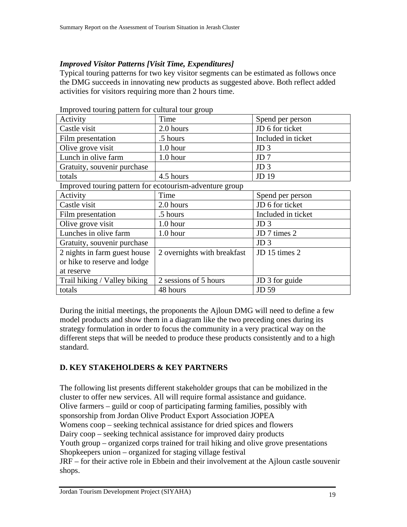### *Improved Visitor Patterns [Visit Time, Expenditures]*

Typical touring patterns for two key visitor segments can be estimated as follows once the DMG succeeds in innovating new products as suggested above. Both reflect added activities for visitors requiring more than 2 hours time.

| Improved touring pattern for cultural tour group |            |                    |  |  |
|--------------------------------------------------|------------|--------------------|--|--|
| Activity                                         | Time       | Spend per person   |  |  |
| Castle visit                                     | 2.0 hours  | JD 6 for ticket    |  |  |
| Film presentation                                | .5 hours   | Included in ticket |  |  |
| Olive grove visit                                | 1.0 hour   | JD <sub>3</sub>    |  |  |
| Lunch in olive farm                              | $1.0$ hour | JD <sub>7</sub>    |  |  |
| Gratuity, souvenir purchase                      |            | JD <sub>3</sub>    |  |  |
| totals                                           | 4.5 hours  | JD 19              |  |  |

Improved touring pattern for cultural tour group

Improved touring pattern for ecotourism-adventure group

| Activity                     | Time                        | Spend per person   |
|------------------------------|-----------------------------|--------------------|
| Castle visit                 | 2.0 hours                   | JD 6 for ticket    |
| Film presentation            | .5 hours                    | Included in ticket |
| Olive grove visit            | $1.0$ hour                  | JD <sub>3</sub>    |
| Lunches in olive farm        | 1.0 hour                    | JD 7 times 2       |
| Gratuity, souvenir purchase  |                             | JD <sub>3</sub>    |
| 2 nights in farm guest house | 2 overnights with breakfast | JD 15 times 2      |
| or hike to reserve and lodge |                             |                    |
| at reserve                   |                             |                    |
| Trail hiking / Valley biking | 2 sessions of 5 hours       | JD 3 for guide     |
| totals                       | 48 hours                    | JD 59              |

During the initial meetings, the proponents the Ajloun DMG will need to define a few model products and show them in a diagram like the two preceding ones during its strategy formulation in order to focus the community in a very practical way on the different steps that will be needed to produce these products consistently and to a high standard.

### **D. KEY STAKEHOLDERS & KEY PARTNERS**

The following list presents different stakeholder groups that can be mobilized in the cluster to offer new services. All will require formal assistance and guidance. Olive farmers – guild or coop of participating farming families, possibly with sponsorship from Jordan Olive Product Export Association JOPEA Womens coop – seeking technical assistance for dried spices and flowers Dairy coop – seeking technical assistance for improved dairy products Youth group – organized corps trained for trail hiking and olive grove presentations Shopkeepers union – organized for staging village festival JRF – for their active role in Ebbein and their involvement at the Ajloun castle souvenir shops.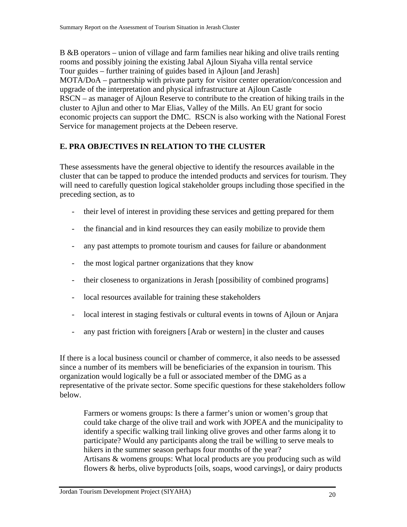B &B operators – union of village and farm families near hiking and olive trails renting rooms and possibly joining the existing Jabal Ajloun Siyaha villa rental service Tour guides – further training of guides based in Ajloun [and Jerash] MOTA/DoA – partnership with private party for visitor center operation/concession and upgrade of the interpretation and physical infrastructure at Ajloun Castle RSCN – as manager of Ajloun Reserve to contribute to the creation of hiking trails in the cluster to Ajlun and other to Mar Elias, Valley of the Mills. An EU grant for socio economic projects can support the DMC. RSCN is also working with the National Forest Service for management projects at the Debeen reserve.

### **E. PRA OBJECTIVES IN RELATION TO THE CLUSTER**

These assessments have the general objective to identify the resources available in the cluster that can be tapped to produce the intended products and services for tourism. They will need to carefully question logical stakeholder groups including those specified in the preceding section, as to

- their level of interest in providing these services and getting prepared for them
- the financial and in kind resources they can easily mobilize to provide them
- any past attempts to promote tourism and causes for failure or abandonment
- the most logical partner organizations that they know
- their closeness to organizations in Jerash [possibility of combined programs]
- local resources available for training these stakeholders
- local interest in staging festivals or cultural events in towns of Ajloun or Anjara
- any past friction with foreigners [Arab or western] in the cluster and causes

If there is a local business council or chamber of commerce, it also needs to be assessed since a number of its members will be beneficiaries of the expansion in tourism. This organization would logically be a full or associated member of the DMG as a representative of the private sector. Some specific questions for these stakeholders follow below.

Farmers or womens groups: Is there a farmer's union or women's group that could take charge of the olive trail and work with JOPEA and the municipality to identify a specific walking trail linking olive groves and other farms along it to participate? Would any participants along the trail be willing to serve meals to hikers in the summer season perhaps four months of the year? Artisans & womens groups: What local products are you producing such as wild flowers & herbs, olive byproducts [oils, soaps, wood carvings], or dairy products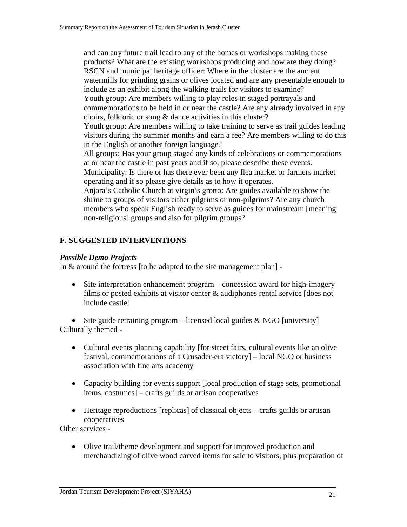and can any future trail lead to any of the homes or workshops making these products? What are the existing workshops producing and how are they doing? RSCN and municipal heritage officer: Where in the cluster are the ancient watermills for grinding grains or olives located and are any presentable enough to include as an exhibit along the walking trails for visitors to examine? Youth group: Are members willing to play roles in staged portrayals and commemorations to be held in or near the castle? Are any already involved in any choirs, folkloric or song & dance activities in this cluster? Youth group: Are members willing to take training to serve as trail guides leading visitors during the summer months and earn a fee? Are members willing to do this in the English or another foreign language? All groups: Has your group staged any kinds of celebrations or commemorations at or near the castle in past years and if so, please describe these events. Municipality: Is there or has there ever been any flea market or farmers market operating and if so please give details as to how it operates. Anjara's Catholic Church at virgin's grotto: Are guides available to show the shrine to groups of visitors either pilgrims or non-pilgrims? Are any church members who speak English ready to serve as guides for mainstream [meaning non-religious] groups and also for pilgrim groups?

### **F. SUGGESTED INTERVENTIONS**

#### *Possible Demo Projects*

In & around the fortress [to be adapted to the site management plan] -

• Site interpretation enhancement program – concession award for high-imagery films or posted exhibits at visitor center & audiphones rental service [does not include castle]

• Site guide retraining program – licensed local guides  $& NGO$  [university] Culturally themed -

- Cultural events planning capability [for street fairs, cultural events like an olive festival, commemorations of a Crusader-era victory] – local NGO or business association with fine arts academy
- Capacity building for events support [local production of stage sets, promotional items, costumes] – crafts guilds or artisan cooperatives
- Heritage reproductions [replicas] of classical objects crafts guilds or artisan cooperatives

Other services -

• Olive trail/theme development and support for improved production and merchandizing of olive wood carved items for sale to visitors, plus preparation of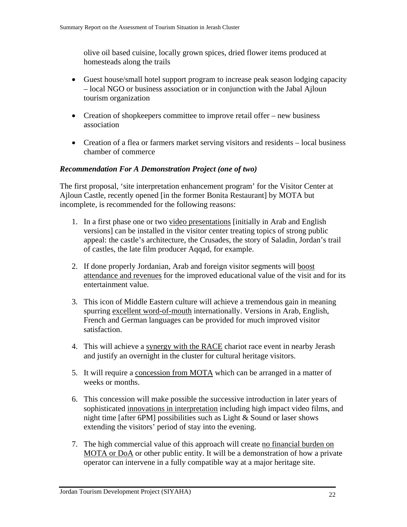olive oil based cuisine, locally grown spices, dried flower items produced at homesteads along the trails

- Guest house/small hotel support program to increase peak season lodging capacity – local NGO or business association or in conjunction with the Jabal Ajloun tourism organization
- Creation of shopkeepers committee to improve retail offer new business association
- Creation of a flea or farmers market serving visitors and residents local business chamber of commerce

#### *Recommendation For A Demonstration Project (one of two)*

The first proposal, 'site interpretation enhancement program' for the Visitor Center at Ajloun Castle, recently opened [in the former Bonita Restaurant] by MOTA but incomplete, is recommended for the following reasons:

- 1. In a first phase one or two video presentations [initially in Arab and English versions] can be installed in the visitor center treating topics of strong public appeal: the castle's architecture, the Crusades, the story of Saladin, Jordan's trail of castles, the late film producer Aqqad, for example.
- 2. If done properly Jordanian, Arab and foreign visitor segments will boost attendance and revenues for the improved educational value of the visit and for its entertainment value.
- 3. This icon of Middle Eastern culture will achieve a tremendous gain in meaning spurring excellent word-of-mouth internationally. Versions in Arab, English, French and German languages can be provided for much improved visitor satisfaction.
- 4. This will achieve a synergy with the RACE chariot race event in nearby Jerash and justify an overnight in the cluster for cultural heritage visitors.
- 5. It will require a concession from MOTA which can be arranged in a matter of weeks or months.
- 6. This concession will make possible the successive introduction in later years of sophisticated innovations in interpretation including high impact video films, and night time [after 6PM] possibilities such as Light & Sound or laser shows extending the visitors' period of stay into the evening.
- 7. The high commercial value of this approach will create no financial burden on MOTA or DoA or other public entity. It will be a demonstration of how a private operator can intervene in a fully compatible way at a major heritage site.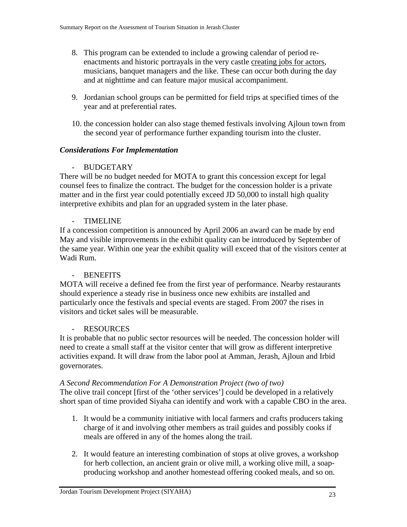- 8. This program can be extended to include a growing calendar of period reenactments and historic portrayals in the very castle creating jobs for actors, musicians, banquet managers and the like. These can occur both during the day and at nighttime and can feature major musical accompaniment.
- 9. Jordanian school groups can be permitted for field trips at specified times of the year and at preferential rates.
- 10. the concession holder can also stage themed festivals involving Ajloun town from the second year of performance further expanding tourism into the cluster.

### *Considerations For Implementation*

### - BUDGETARY

There will be no budget needed for MOTA to grant this concession except for legal counsel fees to finalize the contract. The budget for the concession holder is a private matter and in the first year could potentially exceed JD 50,000 to install high quality interpretive exhibits and plan for an upgraded system in the later phase.

### - TIMELINE

If a concession competition is announced by April 2006 an award can be made by end May and visible improvements in the exhibit quality can be introduced by September of the same year. Within one year the exhibit quality will exceed that of the visitors center at Wadi Rum.

#### **BENEFITS**

MOTA will receive a defined fee from the first year of performance. Nearby restaurants should experience a steady rise in business once new exhibits are installed and particularly once the festivals and special events are staged. From 2007 the rises in visitors and ticket sales will be measurable.

#### - RESOURCES

It is probable that no public sector resources will be needed. The concession holder will need to create a small staff at the visitor center that will grow as different interpretive activities expand. It will draw from the labor pool at Amman, Jerash, Ajloun and Irbid governorates.

#### *A Second Recommendation For A Demonstration Project (two of two)*

The olive trail concept [first of the 'other services'] could be developed in a relatively short span of time provided Siyaha can identify and work with a capable CBO in the area.

- 1. It would be a community initiative with local farmers and crafts producers taking charge of it and involving other members as trail guides and possibly cooks if meals are offered in any of the homes along the trail.
- 2. It would feature an interesting combination of stops at olive groves, a workshop for herb collection, an ancient grain or olive mill, a working olive mill, a soapproducing workshop and another homestead offering cooked meals, and so on.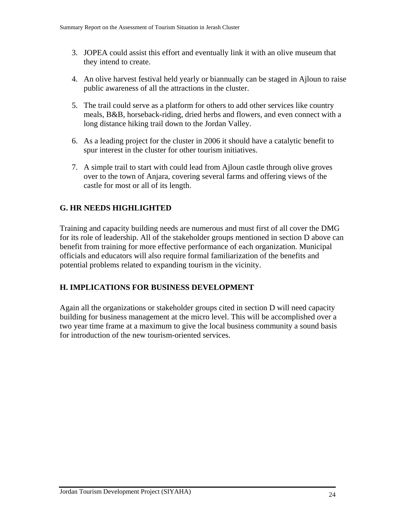- 3. JOPEA could assist this effort and eventually link it with an olive museum that they intend to create.
- 4. An olive harvest festival held yearly or biannually can be staged in Ajloun to raise public awareness of all the attractions in the cluster.
- 5. The trail could serve as a platform for others to add other services like country meals, B&B, horseback-riding, dried herbs and flowers, and even connect with a long distance hiking trail down to the Jordan Valley.
- 6. As a leading project for the cluster in 2006 it should have a catalytic benefit to spur interest in the cluster for other tourism initiatives.
- 7. A simple trail to start with could lead from Ajloun castle through olive groves over to the town of Anjara, covering several farms and offering views of the castle for most or all of its length.

# **G. HR NEEDS HIGHLIGHTED**

Training and capacity building needs are numerous and must first of all cover the DMG for its role of leadership. All of the stakeholder groups mentioned in section D above can benefit from training for more effective performance of each organization. Municipal officials and educators will also require formal familiarization of the benefits and potential problems related to expanding tourism in the vicinity.

### **H. IMPLICATIONS FOR BUSINESS DEVELOPMENT**

Again all the organizations or stakeholder groups cited in section D will need capacity building for business management at the micro level. This will be accomplished over a two year time frame at a maximum to give the local business community a sound basis for introduction of the new tourism-oriented services.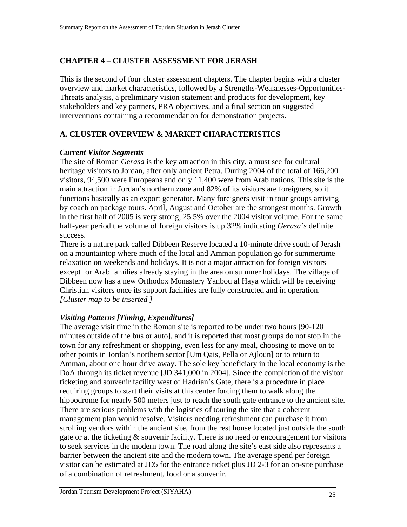# **CHAPTER 4 – CLUSTER ASSESSMENT FOR JERASH**

This is the second of four cluster assessment chapters. The chapter begins with a cluster overview and market characteristics, followed by a Strengths-Weaknesses-Opportunities-Threats analysis, a preliminary vision statement and products for development, key stakeholders and key partners, PRA objectives, and a final section on suggested interventions containing a recommendation for demonstration projects.

# **A. CLUSTER OVERVIEW & MARKET CHARACTERISTICS**

#### *Current Visitor Segments*

The site of Roman *Gerasa* is the key attraction in this city, a must see for cultural heritage visitors to Jordan, after only ancient Petra. During 2004 of the total of 166,200 visitors, 94,500 were Europeans and only 11,400 were from Arab nations. This site is the main attraction in Jordan's northern zone and 82% of its visitors are foreigners, so it functions basically as an export generator. Many foreigners visit in tour groups arriving by coach on package tours. April, August and October are the strongest months. Growth in the first half of 2005 is very strong, 25.5% over the 2004 visitor volume. For the same half-year period the volume of foreign visitors is up 32% indicating *Gerasa's* definite success.

There is a nature park called Dibbeen Reserve located a 10-minute drive south of Jerash on a mountaintop where much of the local and Amman population go for summertime relaxation on weekends and holidays. It is not a major attraction for foreign visitors except for Arab families already staying in the area on summer holidays. The village of Dibbeen now has a new Orthodox Monastery Yanbou al Haya which will be receiving Christian visitors once its support facilities are fully constructed and in operation. *[Cluster map to be inserted ]* 

### *Visiting Patterns [Timing, Expenditures]*

The average visit time in the Roman site is reported to be under two hours [90-120 minutes outside of the bus or auto], and it is reported that most groups do not stop in the town for any refreshment or shopping, even less for any meal, choosing to move on to other points in Jordan's northern sector [Um Qais, Pella or Ajloun] or to return to Amman, about one hour drive away. The sole key beneficiary in the local economy is the DoA through its ticket revenue [JD 341,000 in 2004]. Since the completion of the visitor ticketing and souvenir facility west of Hadrian's Gate, there is a procedure in place requiring groups to start their visits at this center forcing them to walk along the hippodrome for nearly 500 meters just to reach the south gate entrance to the ancient site. There are serious problems with the logistics of touring the site that a coherent management plan would resolve. Visitors needing refreshment can purchase it from strolling vendors within the ancient site, from the rest house located just outside the south gate or at the ticketing & souvenir facility. There is no need or encouragement for visitors to seek services in the modern town. The road along the site's east side also represents a barrier between the ancient site and the modern town. The average spend per foreign visitor can be estimated at JD5 for the entrance ticket plus JD 2-3 for an on-site purchase of a combination of refreshment, food or a souvenir.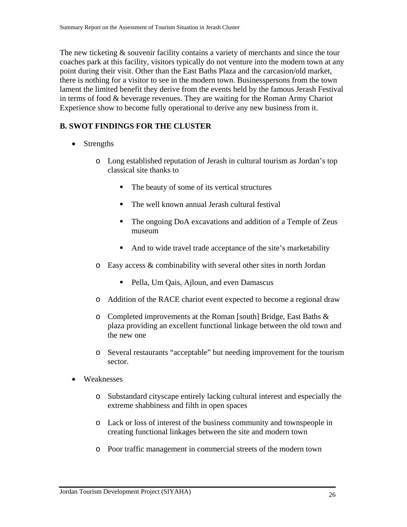The new ticketing  $\&$  souvenir facility contains a variety of merchants and since the tour coaches park at this facility, visitors typically do not venture into the modern town at any point during their visit. Other than the East Baths Plaza and the carcasion/old market, there is nothing for a visitor to see in the modern town. Businesspersons from the town lament the limited benefit they derive from the events held by the famous Jerash Festival in terms of food & beverage revenues. They are waiting for the Roman Army Chariot Experience show to become fully operational to derive any new business from it.

# **B. SWOT FINDINGS FOR THE CLUSTER**

- Strengths
	- o Long established reputation of Jerash in cultural tourism as Jordan's top classical site thanks to
		- The beauty of some of its vertical structures
		- The well known annual Jerash cultural festival
		- The ongoing DoA excavations and addition of a Temple of Zeus museum
		- And to wide travel trade acceptance of the site's marketability
	- o Easy access & combinability with several other sites in north Jordan
		- **Pella, Um Qais, Ajloun, and even Damascus**
	- o Addition of the RACE chariot event expected to become a regional draw
	- o Completed improvements at the Roman [south] Bridge, East Baths & plaza providing an excellent functional linkage between the old town and the new one
	- o Several restaurants "acceptable" but needing improvement for the tourism sector.
- Weaknesses
	- o Substandard cityscape entirely lacking cultural interest and especially the extreme shabbiness and filth in open spaces
	- o Lack or loss of interest of the business community and townspeople in creating functional linkages between the site and modern town
	- o Poor traffic management in commercial streets of the modern town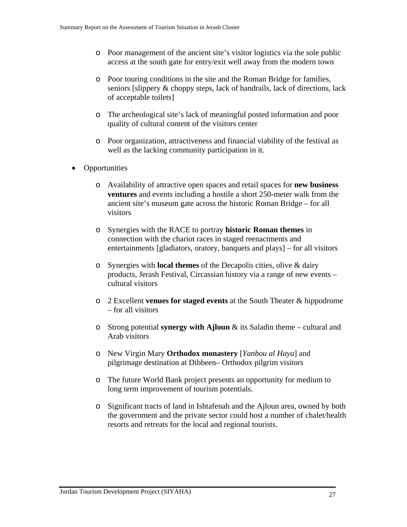- o Poor management of the ancient site's visitor logistics via the sole public access at the south gate for entry/exit well away from the modern town
- o Poor touring conditions in the site and the Roman Bridge for families, seniors [slippery & choppy steps, lack of handrails, lack of directions, lack of acceptable toilets]
- o The archeological site's lack of meaningful posted information and poor quality of cultural content of the visitors center
- o Poor organization, attractiveness and financial viability of the festival as well as the lacking community participation in it.
- Opportunities
	- o Availability of attractive open spaces and retail spaces for **new business ventures** and events including a hostile a short 250-meter walk from the ancient site's museum gate across the historic Roman Bridge – for all visitors
	- o Synergies with the RACE to portray **historic Roman themes** in connection with the chariot races in staged reenactments and entertainments [gladiators, oratory, banquets and plays] – for all visitors
	- o Synergies with **local themes** of the Decapolis cities, olive & dairy products, Jerash Festival, Circassian history via a range of new events – cultural visitors
	- o 2 Excellent **venues for staged events** at the South Theater & hippodrome – for all visitors
	- o Strong potential **synergy with Ajloun** & its Saladin theme cultural and Arab visitors
	- o New Virgin Mary **Orthodox monastery** [*Yanbou al Haya*] and pilgrimage destination at Dibbeen– Orthodox pilgrim visitors
	- o The future World Bank project presents an opportunity for medium to long term improvement of tourism potentials.
	- o Significant tracts of land in Ishtafenah and the Ajloun area, owned by both the government and the private sector could host a number of chalet/health resorts and retreats for the local and regional tourists.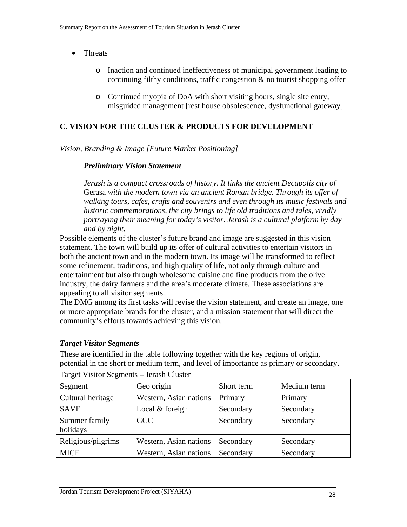- Threats
	- o Inaction and continued ineffectiveness of municipal government leading to continuing filthy conditions, traffic congestion  $\&$  no tourist shopping offer
	- o Continued myopia of DoA with short visiting hours, single site entry, misguided management [rest house obsolescence, dysfunctional gateway]

# **C. VISION FOR THE CLUSTER & PRODUCTS FOR DEVELOPMENT**

*Vision, Branding & Image [Future Market Positioning]* 

### *Preliminary Vision Statement*

*Jerash is a compact crossroads of history. It links the ancient Decapolis city of*  Gerasa *with the modern town via an ancient Roman bridge. Through its offer of walking tours, cafes, crafts and souvenirs and even through its music festivals and historic commemorations, the city brings to life old traditions and tales, vividly portraying their meaning for today's visitor. Jerash is a cultural platform by day and by night.* 

Possible elements of the cluster's future brand and image are suggested in this vision statement. The town will build up its offer of cultural activities to entertain visitors in both the ancient town and in the modern town. Its image will be transformed to reflect some refinement, traditions, and high quality of life, not only through culture and entertainment but also through wholesome cuisine and fine products from the olive industry, the dairy farmers and the area's moderate climate. These associations are appealing to all visitor segments.

The DMG among its first tasks will revise the vision statement, and create an image, one or more appropriate brands for the cluster, and a mission statement that will direct the community's efforts towards achieving this vision.

# *Target Visitor Segments*

These are identified in the table following together with the key regions of origin, potential in the short or medium term, and level of importance as primary or secondary.

| Segment                   | Geo origin             | Short term | Medium term |
|---------------------------|------------------------|------------|-------------|
| Cultural heritage         | Western, Asian nations | Primary    | Primary     |
| <b>SAVE</b>               | Local $&$ foreign      | Secondary  | Secondary   |
| Summer family<br>holidays | <b>GCC</b>             | Secondary  | Secondary   |
| Religious/pilgrims        | Western, Asian nations | Secondary  | Secondary   |
| <b>MICE</b>               | Western, Asian nations | Secondary  | Secondary   |

Target Visitor Segments – Jerash Cluster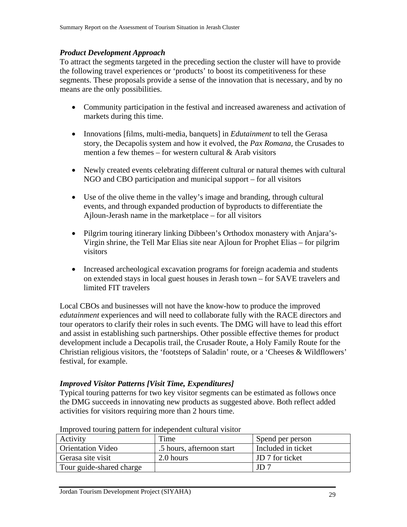#### *Product Development Approach*

To attract the segments targeted in the preceding section the cluster will have to provide the following travel experiences or 'products' to boost its competitiveness for these segments. These proposals provide a sense of the innovation that is necessary, and by no means are the only possibilities.

- Community participation in the festival and increased awareness and activation of markets during this time.
- Innovations [films, multi-media, banquets] in *Edutainment* to tell the Gerasa story, the Decapolis system and how it evolved, the *Pax Romana,* the Crusades to mention a few themes  $-$  for western cultural  $\&$  Arab visitors
- Newly created events celebrating different cultural or natural themes with cultural NGO and CBO participation and municipal support – for all visitors
- Use of the olive theme in the valley's image and branding, through cultural events, and through expanded production of byproducts to differentiate the Ajloun-Jerash name in the marketplace – for all visitors
- Pilgrim touring itinerary linking Dibbeen's Orthodox monastery with Anjara's-Virgin shrine, the Tell Mar Elias site near Ajloun for Prophet Elias – for pilgrim visitors
- Increased archeological excavation programs for foreign academia and students on extended stays in local guest houses in Jerash town – for SAVE travelers and limited FIT travelers

Local CBOs and businesses will not have the know-how to produce the improved *edutainment* experiences and will need to collaborate fully with the RACE directors and tour operators to clarify their roles in such events. The DMG will have to lead this effort and assist in establishing such partnerships. Other possible effective themes for product development include a Decapolis trail, the Crusader Route, a Holy Family Route for the Christian religious visitors, the 'footsteps of Saladin' route, or a 'Cheeses & Wildflowers' festival, for example.

#### *Improved Visitor Patterns [Visit Time, Expenditures]*

Typical touring patterns for two key visitor segments can be estimated as follows once the DMG succeeds in innovating new products as suggested above. Both reflect added activities for visitors requiring more than 2 hours time.

| Activity                 | Time                      | Spend per person   |
|--------------------------|---------------------------|--------------------|
| <b>Orientation Video</b> | .5 hours, afternoon start | Included in ticket |
| Gerasa site visit        | 2.0 hours                 | JD 7 for ticket    |
| Tour guide-shared charge |                           | JD 7               |

Improved touring pattern for independent cultural visitor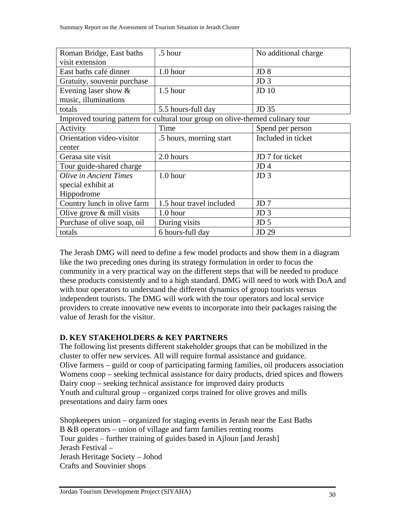| Roman Bridge, East baths      | .5 hour                                                                        | No additional charge |
|-------------------------------|--------------------------------------------------------------------------------|----------------------|
| visit extension               |                                                                                |                      |
| East baths café dinner        | 1.0 hour                                                                       | JD <sub>8</sub>      |
| Gratuity, souvenir purchase   |                                                                                | JD <sub>3</sub>      |
| Evening laser show $\&$       | $1.5$ hour                                                                     | $JD$ 10              |
| music, illuminations          |                                                                                |                      |
| totals                        | 5.5 hours-full day                                                             | JD 35                |
|                               | Improved touring pattern for cultural tour group on olive-themed culinary tour |                      |
| Activity                      | Time                                                                           | Spend per person     |
| Orientation video-visitor     | .5 hours, morning start                                                        | Included in ticket   |
| center                        |                                                                                |                      |
| Gerasa site visit             | 2.0 hours                                                                      | JD 7 for ticket      |
| Tour guide-shared charge      |                                                                                | JD <sub>4</sub>      |
| <b>Olive in Ancient Times</b> | $1.0$ hour                                                                     | JD <sub>3</sub>      |
| special exhibit at            |                                                                                |                      |
| Hippodrome                    |                                                                                |                      |
| Country lunch in olive farm   | 1.5 hour travel included                                                       | JD <sub>7</sub>      |
| Olive grove $\&$ mill visits  | $1.0$ hour                                                                     | JD <sub>3</sub>      |
| Purchase of olive soap, oil   | During visits                                                                  | JD <sub>5</sub>      |
| totals                        | 6 hours-full day                                                               | JD 29                |

The Jerash DMG will need to define a few model products and show them in a diagram like the two preceding ones during its strategy formulation in order to focus the community in a very practical way on the different steps that will be needed to produce these products consistently and to a high standard. DMG will need to work with DoA and with tour operators to understand the different dynamics of group tourists versus independent tourists. The DMG will work with the tour operators and local service providers to create innovative new events to incorporate into their packages raising the value of Jerash for the visitor.

# **D. KEY STAKEHOLDERS & KEY PARTNERS**

The following list presents different stakeholder groups that can be mobilized in the cluster to offer new services. All will require formal assistance and guidance. Olive farmers – guild or coop of participating farming families, oil producers association Womens coop – seeking technical assistance for dairy products, dried spices and flowers Dairy coop – seeking technical assistance for improved dairy products Youth and cultural group – organized corps trained for olive groves and mills presentations and dairy farm ones

Shopkeepers union – organized for staging events in Jerash near the East Baths B &B operators – union of village and farm families renting rooms Tour guides – further training of guides based in Ajloun [and Jerash] Jerash Festival – Jerash Heritage Society – Johod Crafts and Souvinier shops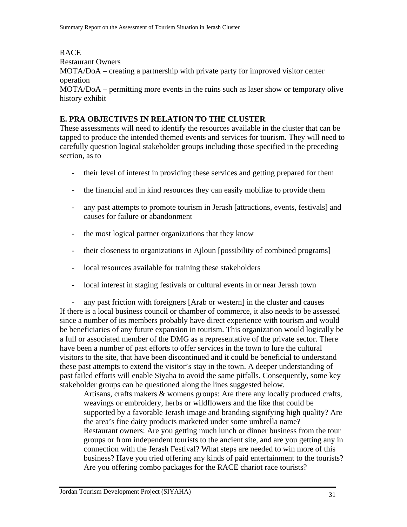RACE Restaurant Owners MOTA/DoA – creating a partnership with private party for improved visitor center operation MOTA/DoA – permitting more events in the ruins such as laser show or temporary olive history exhibit

### **E. PRA OBJECTIVES IN RELATION TO THE CLUSTER**

These assessments will need to identify the resources available in the cluster that can be tapped to produce the intended themed events and services for tourism. They will need to carefully question logical stakeholder groups including those specified in the preceding section, as to

- their level of interest in providing these services and getting prepared for them
- the financial and in kind resources they can easily mobilize to provide them
- any past attempts to promote tourism in Jerash [attractions, events, festivals] and causes for failure or abandonment
- the most logical partner organizations that they know
- their closeness to organizations in Ajloun [possibility of combined programs]
- local resources available for training these stakeholders
- local interest in staging festivals or cultural events in or near Jerash town

- any past friction with foreigners [Arab or western] in the cluster and causes If there is a local business council or chamber of commerce, it also needs to be assessed since a number of its members probably have direct experience with tourism and would be beneficiaries of any future expansion in tourism. This organization would logically be a full or associated member of the DMG as a representative of the private sector. There have been a number of past efforts to offer services in the town to lure the cultural visitors to the site, that have been discontinued and it could be beneficial to understand these past attempts to extend the visitor's stay in the town. A deeper understanding of past failed efforts will enable Siyaha to avoid the same pitfalls. Consequently, some key stakeholder groups can be questioned along the lines suggested below.

Artisans, crafts makers & womens groups: Are there any locally produced crafts, weavings or embroidery, herbs or wildflowers and the like that could be supported by a favorable Jerash image and branding signifying high quality? Are the area's fine dairy products marketed under some umbrella name? Restaurant owners: Are you getting much lunch or dinner business from the tour groups or from independent tourists to the ancient site, and are you getting any in connection with the Jerash Festival? What steps are needed to win more of this business? Have you tried offering any kinds of paid entertainment to the tourists? Are you offering combo packages for the RACE chariot race tourists?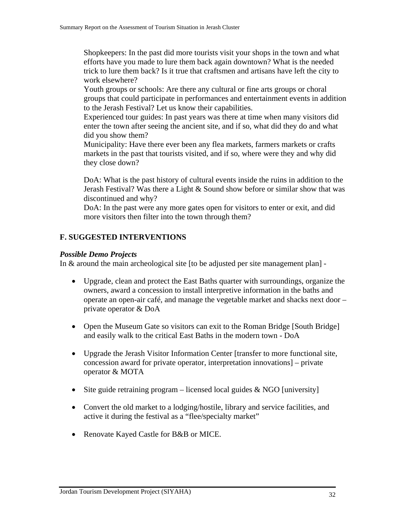Shopkeepers: In the past did more tourists visit your shops in the town and what efforts have you made to lure them back again downtown? What is the needed trick to lure them back? Is it true that craftsmen and artisans have left the city to work elsewhere?

Youth groups or schools: Are there any cultural or fine arts groups or choral groups that could participate in performances and entertainment events in addition to the Jerash Festival? Let us know their capabilities.

Experienced tour guides: In past years was there at time when many visitors did enter the town after seeing the ancient site, and if so, what did they do and what did you show them?

Municipality: Have there ever been any flea markets, farmers markets or crafts markets in the past that tourists visited, and if so, where were they and why did they close down?

DoA: What is the past history of cultural events inside the ruins in addition to the Jerash Festival? Was there a Light & Sound show before or similar show that was discontinued and why?

DoA: In the past were any more gates open for visitors to enter or exit, and did more visitors then filter into the town through them?

### **F. SUGGESTED INTERVENTIONS**

#### *Possible Demo Projects*

In & around the main archeological site [to be adjusted per site management plan] -

- Upgrade, clean and protect the East Baths quarter with surroundings, organize the owners, award a concession to install interpretive information in the baths and operate an open-air café, and manage the vegetable market and shacks next door – private operator & DoA
- Open the Museum Gate so visitors can exit to the Roman Bridge [South Bridge] and easily walk to the critical East Baths in the modern town - DoA
- Upgrade the Jerash Visitor Information Center [transfer to more functional site, concession award for private operator, interpretation innovations] – private operator & MOTA
- Site guide retraining program licensed local guides  $& NGO$  [university]
- Convert the old market to a lodging/hostile, library and service facilities, and active it during the festival as a "flee/specialty market"
- Renovate Kayed Castle for B&B or MICE.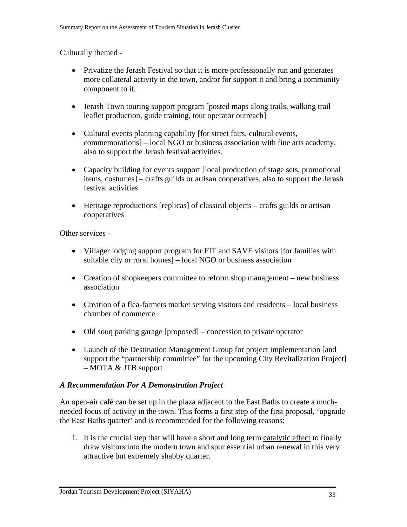#### Culturally themed -

- Privatize the Jerash Festival so that it is more professionally run and generates more collateral activity in the town, and/or for support it and bring a community component to it.
- Jerash Town touring support program [posted maps along trails, walking trail leaflet production, guide training, tour operator outreach]
- Cultural events planning capability [for street fairs, cultural events, commemorations] – local NGO or business association with fine arts academy, also to support the Jerash festival activities.
- Capacity building for events support [local production of stage sets, promotional items, costumes] – crafts guilds or artisan cooperatives, also to support the Jerash festival activities.
- Heritage reproductions [replicas] of classical objects crafts guilds or artisan cooperatives

Other services -

- Villager lodging support program for FIT and SAVE visitors [for families with suitable city or rural homes] – local NGO or business association
- Creation of shopkeepers committee to reform shop management new business association
- Creation of a flea-farmers market serving visitors and residents local business chamber of commerce
- Old souq parking garage [proposed] concession to private operator
- Launch of the Destination Management Group for project implementation [and support the "partnership committee" for the upcoming City Revitalization Project] – MOTA & JTB support

#### *A Recommendation For A Demonstration Project*

An open-air café can be set up in the plaza adjacent to the East Baths to create a muchneeded focus of activity in the town. This forms a first step of the first proposal, 'upgrade the East Baths quarter' and is recommended for the following reasons:

1. It is the crucial step that will have a short and long term catalytic effect to finally draw visitors into the modern town and spur essential urban renewal in this very attractive but extremely shabby quarter.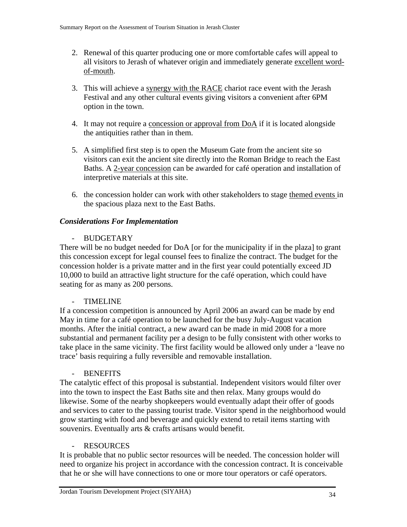- 2. Renewal of this quarter producing one or more comfortable cafes will appeal to all visitors to Jerash of whatever origin and immediately generate excellent wordof-mouth.
- 3. This will achieve a synergy with the RACE chariot race event with the Jerash Festival and any other cultural events giving visitors a convenient after 6PM option in the town.
- 4. It may not require a concession or approval from DoA if it is located alongside the antiquities rather than in them.
- 5. A simplified first step is to open the Museum Gate from the ancient site so visitors can exit the ancient site directly into the Roman Bridge to reach the East Baths. A 2-year concession can be awarded for café operation and installation of interpretive materials at this site.
- 6. the concession holder can work with other stakeholders to stage themed events in the spacious plaza next to the East Baths.

### *Considerations For Implementation*

### - BUDGETARY

There will be no budget needed for DoA [or for the municipality if in the plaza] to grant this concession except for legal counsel fees to finalize the contract. The budget for the concession holder is a private matter and in the first year could potentially exceed JD 10,000 to build an attractive light structure for the café operation, which could have seating for as many as 200 persons.

### - TIMELINE

If a concession competition is announced by April 2006 an award can be made by end May in time for a café operation to be launched for the busy July-August vacation months. After the initial contract, a new award can be made in mid 2008 for a more substantial and permanent facility per a design to be fully consistent with other works to take place in the same vicinity. The first facility would be allowed only under a 'leave no trace' basis requiring a fully reversible and removable installation.

#### - BENEFITS

The catalytic effect of this proposal is substantial. Independent visitors would filter over into the town to inspect the East Baths site and then relax. Many groups would do likewise. Some of the nearby shopkeepers would eventually adapt their offer of goods and services to cater to the passing tourist trade. Visitor spend in the neighborhood would grow starting with food and beverage and quickly extend to retail items starting with souvenirs. Eventually arts & crafts artisans would benefit.

#### - RESOURCES

It is probable that no public sector resources will be needed. The concession holder will need to organize his project in accordance with the concession contract. It is conceivable that he or she will have connections to one or more tour operators or café operators.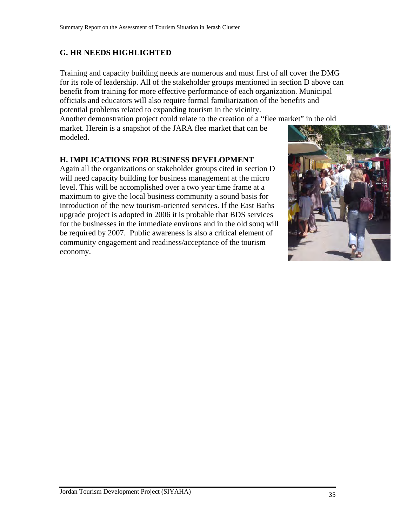# **G. HR NEEDS HIGHLIGHTED**

Training and capacity building needs are numerous and must first of all cover the DMG for its role of leadership. All of the stakeholder groups mentioned in section D above can benefit from training for more effective performance of each organization. Municipal officials and educators will also require formal familiarization of the benefits and potential problems related to expanding tourism in the vicinity.

Another demonstration project could relate to the creation of a "flee market" in the old

market. Herein is a snapshot of the JARA flee market that can be modeled.

### **H. IMPLICATIONS FOR BUSINESS DEVELOPMENT**

Again all the organizations or stakeholder groups cited in section D will need capacity building for business management at the micro level. This will be accomplished over a two year time frame at a maximum to give the local business community a sound basis for introduction of the new tourism-oriented services. If the East Baths upgrade project is adopted in 2006 it is probable that BDS services for the businesses in the immediate environs and in the old souq will be required by 2007. Public awareness is also a critical element of community engagement and readiness/acceptance of the tourism economy.

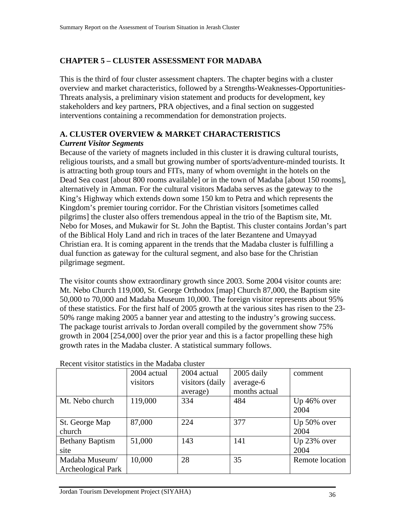# **CHAPTER 5 – CLUSTER ASSESSMENT FOR MADABA**

This is the third of four cluster assessment chapters. The chapter begins with a cluster overview and market characteristics, followed by a Strengths-Weaknesses-Opportunities-Threats analysis, a preliminary vision statement and products for development, key stakeholders and key partners, PRA objectives, and a final section on suggested interventions containing a recommendation for demonstration projects.

#### **A. CLUSTER OVERVIEW & MARKET CHARACTERISTICS**  *Current Visitor Segments*

Because of the variety of magnets included in this cluster it is drawing cultural tourists, religious tourists, and a small but growing number of sports/adventure-minded tourists. It is attracting both group tours and FITs, many of whom overnight in the hotels on the Dead Sea coast [about 800 rooms available] or in the town of Madaba [about 150 rooms], alternatively in Amman. For the cultural visitors Madaba serves as the gateway to the King's Highway which extends down some 150 km to Petra and which represents the Kingdom's premier touring corridor. For the Christian visitors [sometimes called pilgrims] the cluster also offers tremendous appeal in the trio of the Baptism site, Mt. Nebo for Moses, and Mukawir for St. John the Baptist. This cluster contains Jordan's part of the Biblical Holy Land and rich in traces of the later Bezantene and Umayyad Christian era. It is coming apparent in the trends that the Madaba cluster is fulfilling a dual function as gateway for the cultural segment, and also base for the Christian pilgrimage segment.

The visitor counts show extraordinary growth since 2003. Some 2004 visitor counts are: Mt. Nebo Church 119,000, St. George Orthodox [map] Church 87,000, the Baptism site 50,000 to 70,000 and Madaba Museum 10,000. The foreign visitor represents about 95% of these statistics. For the first half of 2005 growth at the various sites has risen to the 23- 50% range making 2005 a banner year and attesting to the industry's growing success. The package tourist arrivals to Jordan overall compiled by the government show 75% growth in 2004 [254,000] over the prior year and this is a factor propelling these high growth rates in the Madaba cluster. A statistical summary follows.

|                        | 2004 actual | 2004 actual     | 2005 daily    | comment             |
|------------------------|-------------|-----------------|---------------|---------------------|
|                        | visitors    | visitors (daily | average-6     |                     |
|                        |             | average)        | months actual |                     |
| Mt. Nebo church        | 119,000     | 334             | 484           | Up 46% over<br>2004 |
| St. George Map         | 87,000      | 224             | 377           | Up 50% over         |
| church                 |             |                 |               | 2004                |
| <b>Bethany Baptism</b> | 51,000      | 143             | 141           | Up 23% over         |
| site                   |             |                 |               | 2004                |
| Madaba Museum/         | 10,000      | 28              | 35            | Remote location     |
| Archeological Park     |             |                 |               |                     |

Recent visitor statistics in the Madaba cluster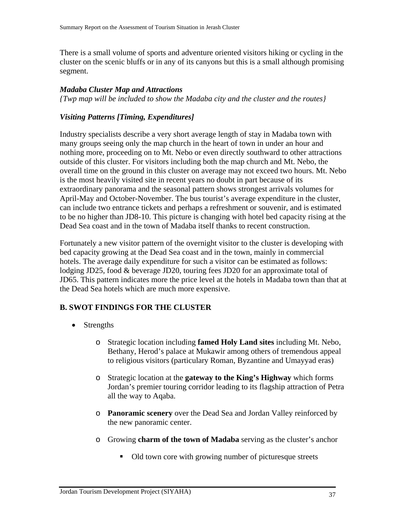There is a small volume of sports and adventure oriented visitors hiking or cycling in the cluster on the scenic bluffs or in any of its canyons but this is a small although promising segment.

#### *Madaba Cluster Map and Attractions*

*{Twp map will be included to show the Madaba city and the cluster and the routes}* 

### *Visiting Patterns [Timing, Expenditures]*

Industry specialists describe a very short average length of stay in Madaba town with many groups seeing only the map church in the heart of town in under an hour and nothing more, proceeding on to Mt. Nebo or even directly southward to other attractions outside of this cluster. For visitors including both the map church and Mt. Nebo, the overall time on the ground in this cluster on average may not exceed two hours. Mt. Nebo is the most heavily visited site in recent years no doubt in part because of its extraordinary panorama and the seasonal pattern shows strongest arrivals volumes for April-May and October-November. The bus tourist's average expenditure in the cluster, can include two entrance tickets and perhaps a refreshment or souvenir, and is estimated to be no higher than JD8-10. This picture is changing with hotel bed capacity rising at the Dead Sea coast and in the town of Madaba itself thanks to recent construction.

Fortunately a new visitor pattern of the overnight visitor to the cluster is developing with bed capacity growing at the Dead Sea coast and in the town, mainly in commercial hotels. The average daily expenditure for such a visitor can be estimated as follows: lodging JD25, food & beverage JD20, touring fees JD20 for an approximate total of JD65. This pattern indicates more the price level at the hotels in Madaba town than that at the Dead Sea hotels which are much more expensive.

### **B. SWOT FINDINGS FOR THE CLUSTER**

- Strengths
	- o Strategic location including **famed Holy Land sites** including Mt. Nebo, Bethany, Herod's palace at Mukawir among others of tremendous appeal to religious visitors (particulary Roman, Byzantine and Umayyad eras)
	- o Strategic location at the **gateway to the King's Highway** which forms Jordan's premier touring corridor leading to its flagship attraction of Petra all the way to Aqaba.
	- o **Panoramic scenery** over the Dead Sea and Jordan Valley reinforced by the new panoramic center.
	- o Growing **charm of the town of Madaba** serving as the cluster's anchor
		- Old town core with growing number of picturesque streets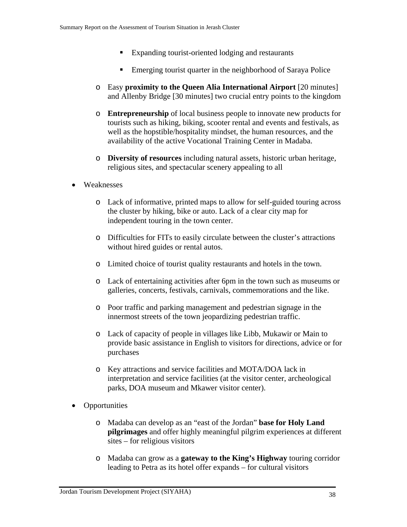- Expanding tourist-oriented lodging and restaurants
- **Emerging tourist quarter in the neighborhood of Saraya Police**
- o Easy **proximity to the Queen Alia International Airport** [20 minutes] and Allenby Bridge [30 minutes] two crucial entry points to the kingdom
- o **Entrepreneurship** of local business people to innovate new products for tourists such as hiking, biking, scooter rental and events and festivals, as well as the hopstible/hospitality mindset, the human resources, and the availability of the active Vocational Training Center in Madaba.
- o **Diversity of resources** including natural assets, historic urban heritage, religious sites, and spectacular scenery appealing to all
- Weaknesses
	- o Lack of informative, printed maps to allow for self-guided touring across the cluster by hiking, bike or auto. Lack of a clear city map for independent touring in the town center.
	- o Difficulties for FITs to easily circulate between the cluster's attractions without hired guides or rental autos.
	- o Limited choice of tourist quality restaurants and hotels in the town.
	- o Lack of entertaining activities after 6pm in the town such as museums or galleries, concerts, festivals, carnivals, commemorations and the like.
	- o Poor traffic and parking management and pedestrian signage in the innermost streets of the town jeopardizing pedestrian traffic.
	- o Lack of capacity of people in villages like Libb, Mukawir or Main to provide basic assistance in English to visitors for directions, advice or for purchases
	- o Key attractions and service facilities and MOTA/DOA lack in interpretation and service facilities (at the visitor center, archeological parks, DOA museum and Mkawer visitor center).
- Opportunities
	- o Madaba can develop as an "east of the Jordan" **base for Holy Land pilgrimages** and offer highly meaningful pilgrim experiences at different sites – for religious visitors
	- o Madaba can grow as a **gateway to the King's Highway** touring corridor leading to Petra as its hotel offer expands – for cultural visitors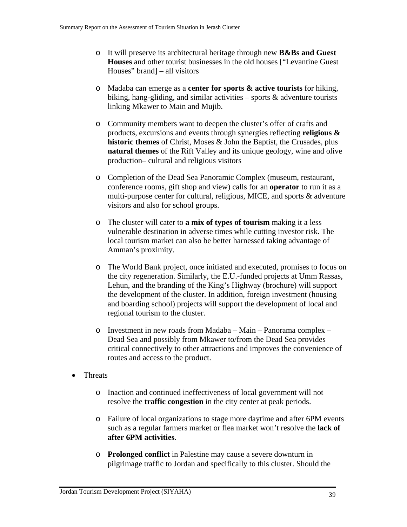- o It will preserve its architectural heritage through new **B&Bs and Guest Houses** and other tourist businesses in the old houses ["Levantine Guest Houses" brand] – all visitors
- o Madaba can emerge as a **center for sports & active tourists** for hiking, biking, hang-gliding, and similar activities – sports  $\&$  adventure tourists linking Mkawer to Main and Mujib.
- o Community members want to deepen the cluster's offer of crafts and products, excursions and events through synergies reflecting **religious & historic themes** of Christ, Moses & John the Baptist, the Crusades, plus **natural themes** of the Rift Valley and its unique geology, wine and olive production– cultural and religious visitors
- o Completion of the Dead Sea Panoramic Complex (museum, restaurant, conference rooms, gift shop and view) calls for an **operator** to run it as a multi-purpose center for cultural, religious, MICE, and sports & adventure visitors and also for school groups.
- o The cluster will cater to **a mix of types of tourism** making it a less vulnerable destination in adverse times while cutting investor risk. The local tourism market can also be better harnessed taking advantage of Amman's proximity.
- o The World Bank project, once initiated and executed, promises to focus on the city regeneration. Similarly, the E.U.-funded projects at Umm Rassas, Lehun, and the branding of the King's Highway (brochure) will support the development of the cluster. In addition, foreign investment (housing and boarding school) projects will support the development of local and regional tourism to the cluster.
- o Investment in new roads from Madaba Main Panorama complex Dead Sea and possibly from Mkawer to/from the Dead Sea provides critical connectively to other attractions and improves the convenience of routes and access to the product.
- Threats
	- o Inaction and continued ineffectiveness of local government will not resolve the **traffic congestion** in the city center at peak periods.
	- o Failure of local organizations to stage more daytime and after 6PM events such as a regular farmers market or flea market won't resolve the **lack of after 6PM activities**.
	- o **Prolonged conflict** in Palestine may cause a severe downturn in pilgrimage traffic to Jordan and specifically to this cluster. Should the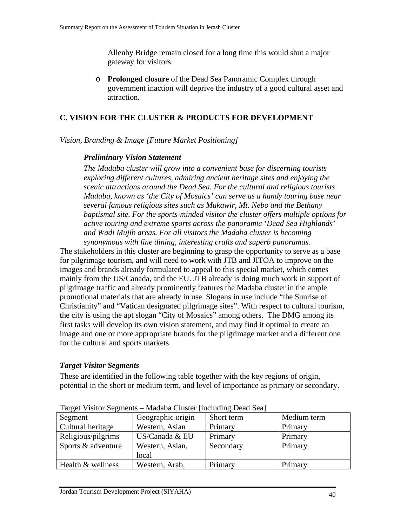Allenby Bridge remain closed for a long time this would shut a major gateway for visitors.

o **Prolonged closure** of the Dead Sea Panoramic Complex through government inaction will deprive the industry of a good cultural asset and attraction.

#### **C. VISION FOR THE CLUSTER & PRODUCTS FOR DEVELOPMENT**

#### *Vision, Branding & Image [Future Market Positioning]*

#### *Preliminary Vision Statement*

*The Madaba cluster will grow into a convenient base for discerning tourists exploring different cultures, admiring ancient heritage sites and enjoying the scenic attractions around the Dead Sea. For the cultural and religious tourists Madaba, known as 'the City of Mosaics' can serve as a handy touring base near several famous religious sites such as Mukawir, Mt. Nebo and the Bethany baptismal site. For the sports-minded visitor the cluster offers multiple options for active touring and extreme sports across the panoramic 'Dead Sea Highlands' and Wadi Mujib areas. For all visitors the Madaba cluster is becoming synonymous with fine dining, interesting crafts and superb panoramas.* 

The stakeholders in this cluster are beginning to grasp the opportunity to serve as a base for pilgrimage tourism, and will need to work with JTB and JITOA to improve on the images and brands already formulated to appeal to this special market, which comes mainly from the US/Canada, and the EU. JTB already is doing much work in support of pilgrimage traffic and already prominently features the Madaba cluster in the ample promotional materials that are already in use. Slogans in use include "the Sunrise of Christianity" and "Vatican designated pilgrimage sites". With respect to cultural tourism, the city is using the apt slogan "City of Mosaics" among others. The DMG among its first tasks will develop its own vision statement, and may find it optimal to create an image and one or more appropriate brands for the pilgrimage market and a different one for the cultural and sports markets.

#### *Target Visitor Segments*

These are identified in the following table together with the key regions of origin, potential in the short or medium term, and level of importance as primary or secondary.

| Segment            | Geographic origin | Short term | Medium term |
|--------------------|-------------------|------------|-------------|
| Cultural heritage  | Western, Asian    | Primary    | Primary     |
| Religious/pilgrims | US/Canada & EU    | Primary    | Primary     |
| Sports & adventure | Western, Asian,   | Secondary  | Primary     |
|                    | local             |            |             |
| Health & wellness  | Western, Arab,    | Primary    | Primary     |

Target Visitor Segments – Madaba Cluster [including Dead Sea]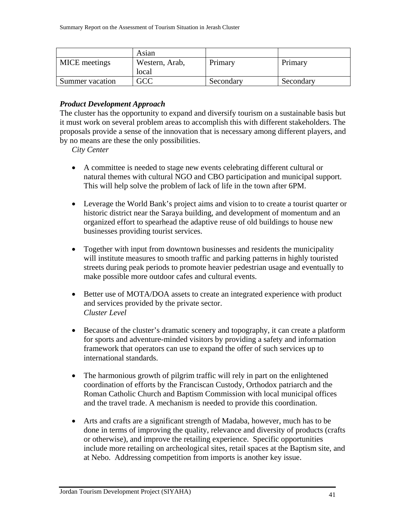|                 | Asian          |           |           |
|-----------------|----------------|-----------|-----------|
| MICE meetings   | Western, Arab, | Primary   | Primary   |
|                 | local          |           |           |
| Summer vacation | GCC            | Secondary | Secondary |

#### *Product Development Approach*

The cluster has the opportunity to expand and diversify tourism on a sustainable basis but it must work on several problem areas to accomplish this with different stakeholders. The proposals provide a sense of the innovation that is necessary among different players, and by no means are these the only possibilities.

*City Center* 

- A committee is needed to stage new events celebrating different cultural or natural themes with cultural NGO and CBO participation and municipal support. This will help solve the problem of lack of life in the town after 6PM.
- Leverage the World Bank's project aims and vision to to create a tourist quarter or historic district near the Saraya building, and development of momentum and an organized effort to spearhead the adaptive reuse of old buildings to house new businesses providing tourist services.
- Together with input from downtown businesses and residents the municipality will institute measures to smooth traffic and parking patterns in highly touristed streets during peak periods to promote heavier pedestrian usage and eventually to make possible more outdoor cafes and cultural events.
- Better use of MOTA/DOA assets to create an integrated experience with product and services provided by the private sector. *Cluster Level*
- Because of the cluster's dramatic scenery and topography, it can create a platform for sports and adventure-minded visitors by providing a safety and information framework that operators can use to expand the offer of such services up to international standards.
- The harmonious growth of pilgrim traffic will rely in part on the enlightened coordination of efforts by the Franciscan Custody, Orthodox patriarch and the Roman Catholic Church and Baptism Commission with local municipal offices and the travel trade. A mechanism is needed to provide this coordination.
- Arts and crafts are a significant strength of Madaba, however, much has to be done in terms of improving the quality, relevance and diversity of products (crafts or otherwise), and improve the retailing experience. Specific opportunities include more retailing on archeological sites, retail spaces at the Baptism site, and at Nebo. Addressing competition from imports is another key issue.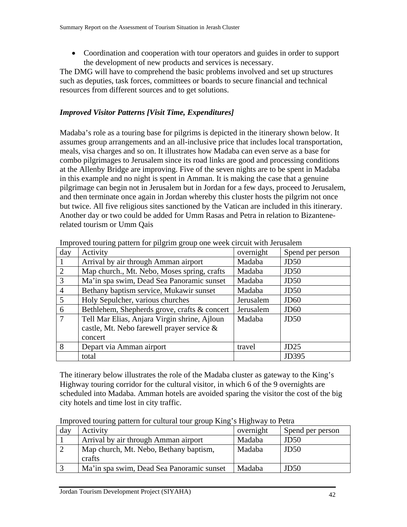• Coordination and cooperation with tour operators and guides in order to support the development of new products and services is necessary.

The DMG will have to comprehend the basic problems involved and set up structures such as deputies, task forces, committees or boards to secure financial and technical resources from different sources and to get solutions.

# *Improved Visitor Patterns [Visit Time, Expenditures]*

Madaba's role as a touring base for pilgrims is depicted in the itinerary shown below. It assumes group arrangements and an all-inclusive price that includes local transportation, meals, visa charges and so on. It illustrates how Madaba can even serve as a base for combo pilgrimages to Jerusalem since its road links are good and processing conditions at the Allenby Bridge are improving. Five of the seven nights are to be spent in Madaba in this example and no night is spent in Amman. It is making the case that a genuine pilgrimage can begin not in Jerusalem but in Jordan for a few days, proceed to Jerusalem, and then terminate once again in Jordan whereby this cluster hosts the pilgrim not once but twice. All five religious sites sanctioned by the Vatican are included in this itinerary. Another day or two could be added for Umm Rasas and Petra in relation to Bizantenerelated tourism or Umm Qais

| day            | Activity                                     | overnight | Spend per person |
|----------------|----------------------------------------------|-----------|------------------|
|                | Arrival by air through Amman airport         | Madaba    | JD <sub>50</sub> |
| 2              | Map church., Mt. Nebo, Moses spring, crafts  | Madaba    | JD <sub>50</sub> |
| 3              | Ma'in spa swim, Dead Sea Panoramic sunset    | Madaba    | JD <sub>50</sub> |
| $\overline{4}$ | Bethany baptism service, Mukawir sunset      | Madaba    | JD <sub>50</sub> |
| 5              | Holy Sepulcher, various churches             | Jerusalem | J <sub>D60</sub> |
| 6              | Bethlehem, Shepherds grove, crafts & concert | Jerusalem | J <sub>D60</sub> |
| $\tau$         | Tell Mar Elias, Anjara Virgin shrine, Ajloun | Madaba    | JD <sub>50</sub> |
|                | castle, Mt. Nebo farewell prayer service &   |           |                  |
|                | concert                                      |           |                  |
| 8              | Depart via Amman airport                     | travel    | JD25             |
|                | total                                        |           | JD395            |

Improved touring pattern for pilgrim group one week circuit with Jerusalem

The itinerary below illustrates the role of the Madaba cluster as gateway to the King's Highway touring corridor for the cultural visitor, in which 6 of the 9 overnights are scheduled into Madaba. Amman hotels are avoided sparing the visitor the cost of the big city hotels and time lost in city traffic.

|  | Improved touring pattern for cultural tour group King's Highway to Petra |  |  |
|--|--------------------------------------------------------------------------|--|--|
|--|--------------------------------------------------------------------------|--|--|

| day | Activity                                  | overnight | Spend per person |
|-----|-------------------------------------------|-----------|------------------|
|     | Arrival by air through Amman airport      | Madaba    | JD <sub>50</sub> |
|     | Map church, Mt. Nebo, Bethany baptism,    | Madaba    | JD <sub>50</sub> |
|     | crafts                                    |           |                  |
|     | Ma'in spa swim, Dead Sea Panoramic sunset | Madaba    | JD <sub>50</sub> |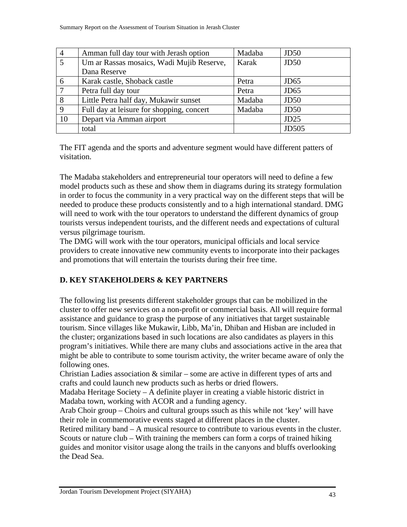| $\overline{4}$ | Amman full day tour with Jerash option    | Madaba | JD <sub>50</sub> |
|----------------|-------------------------------------------|--------|------------------|
|                | Um ar Rassas mosaics, Wadi Mujib Reserve, | Karak  | JD <sub>50</sub> |
|                | Dana Reserve                              |        |                  |
| 6              | Karak castle, Shoback castle              | Petra  | J <sub>D65</sub> |
|                | Petra full day tour                       | Petra  | JD <sub>65</sub> |
| 8              | Little Petra half day, Mukawir sunset     | Madaba | JD <sub>50</sub> |
| 9              | Full day at leisure for shopping, concert | Madaba | JD <sub>50</sub> |
| 10             | Depart via Amman airport                  |        | JD25             |
|                | total                                     |        | <b>JD505</b>     |

The FIT agenda and the sports and adventure segment would have different patters of visitation.

The Madaba stakeholders and entrepreneurial tour operators will need to define a few model products such as these and show them in diagrams during its strategy formulation in order to focus the community in a very practical way on the different steps that will be needed to produce these products consistently and to a high international standard. DMG will need to work with the tour operators to understand the different dynamics of group tourists versus independent tourists, and the different needs and expectations of cultural versus pilgrimage tourism.

The DMG will work with the tour operators, municipal officials and local service providers to create innovative new community events to incorporate into their packages and promotions that will entertain the tourists during their free time.

# **D. KEY STAKEHOLDERS & KEY PARTNERS**

The following list presents different stakeholder groups that can be mobilized in the cluster to offer new services on a non-profit or commercial basis. All will require formal assistance and guidance to grasp the purpose of any initiatives that target sustainable tourism. Since villages like Mukawir, Libb, Ma'in, Dhiban and Hisban are included in the cluster; organizations based in such locations are also candidates as players in this program's initiatives. While there are many clubs and associations active in the area that might be able to contribute to some tourism activity, the writer became aware of only the following ones.

Christian Ladies association  $\&$  similar – some are active in different types of arts and crafts and could launch new products such as herbs or dried flowers.

Madaba Heritage Society – A definite player in creating a viable historic district in Madaba town, working with ACOR and a funding agency.

Arab Choir group – Choirs and cultural groups ssuch as this while not 'key' will have their role in commemorative events staged at different places in the cluster.

Retired military band – A musical resource to contribute to various events in the cluster. Scouts or nature club – With training the members can form a corps of trained hiking guides and monitor visitor usage along the trails in the canyons and bluffs overlooking the Dead Sea.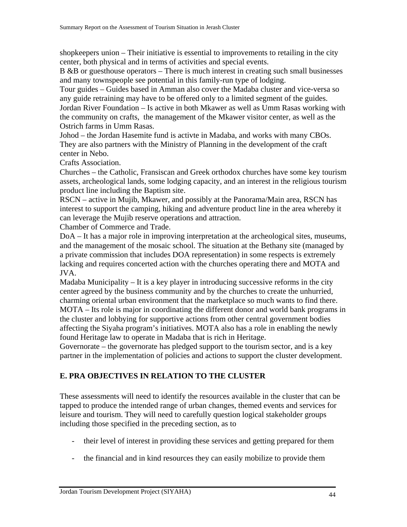shopkeepers union – Their initiative is essential to improvements to retailing in the city center, both physical and in terms of activities and special events.

B &B or guesthouse operators – There is much interest in creating such small businesses and many townspeople see potential in this family-run type of lodging.

Tour guides – Guides based in Amman also cover the Madaba cluster and vice-versa so any guide retraining may have to be offered only to a limited segment of the guides. Jordan River Foundation – Is active in both Mkawer as well as Umm Rasas working with the community on crafts, the management of the Mkawer visitor center, as well as the Ostrich farms in Umm Rasas.

Johod – the Jordan Hasemite fund is activte in Madaba, and works with many CBOs. They are also partners with the Ministry of Planning in the development of the craft center in Nebo.

Crafts Association.

Churches – the Catholic, Fransiscan and Greek orthodox churches have some key tourism assets, archeological lands, some lodging capacity, and an interest in the religious tourism product line including the Baptism site.

RSCN – active in Mujib, Mkawer, and possibly at the Panorama/Main area, RSCN has interest to support the camping, hiking and adventure product line in the area whereby it can leverage the Mujib reserve operations and attraction.

Chamber of Commerce and Trade.

DoA – It has a major role in improving interpretation at the archeological sites, museums, and the management of the mosaic school. The situation at the Bethany site (managed by a private commission that includes DOA representation) in some respects is extremely lacking and requires concerted action with the churches operating there and MOTA and JVA.

Madaba Municipality – It is a key player in introducing successive reforms in the city center agreed by the business community and by the churches to create the unhurried, charming oriental urban environment that the marketplace so much wants to find there. MOTA – Its role is major in coordinating the different donor and world bank programs in the cluster and lobbying for supportive actions from other central government bodies affecting the Siyaha program's initiatives. MOTA also has a role in enabling the newly found Heritage law to operate in Madaba that is rich in Heritage.

Governorate – the governorate has pledged support to the tourism sector, and is a key partner in the implementation of policies and actions to support the cluster development.

### **E. PRA OBJECTIVES IN RELATION TO THE CLUSTER**

These assessments will need to identify the resources available in the cluster that can be tapped to produce the intended range of urban changes, themed events and services for leisure and tourism. They will need to carefully question logical stakeholder groups including those specified in the preceding section, as to

- their level of interest in providing these services and getting prepared for them
- the financial and in kind resources they can easily mobilize to provide them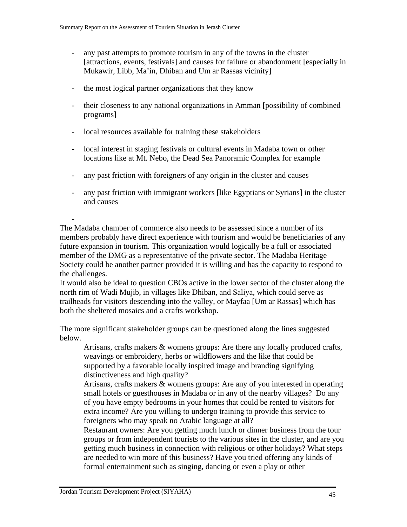- any past attempts to promote tourism in any of the towns in the cluster [attractions, events, festivals] and causes for failure or abandonment [especially in Mukawir, Libb, Ma'in, Dhiban and Um ar Rassas vicinity]
- the most logical partner organizations that they know
- their closeness to any national organizations in Amman [possibility of combined programs]
- local resources available for training these stakeholders
- local interest in staging festivals or cultural events in Madaba town or other locations like at Mt. Nebo, the Dead Sea Panoramic Complex for example
- any past friction with foreigners of any origin in the cluster and causes
- any past friction with immigrant workers [like Egyptians or Syrians] in the cluster and causes

The Madaba chamber of commerce also needs to be assessed since a number of its members probably have direct experience with tourism and would be beneficiaries of any future expansion in tourism. This organization would logically be a full or associated member of the DMG as a representative of the private sector. The Madaba Heritage Society could be another partner provided it is willing and has the capacity to respond to the challenges.

It would also be ideal to question CBOs active in the lower sector of the cluster along the north rim of Wadi Mujib, in villages like Dhiban, and Saliya, which could serve as trailheads for visitors descending into the valley, or Mayfaa [Um ar Rassas] which has both the sheltered mosaics and a crafts workshop.

The more significant stakeholder groups can be questioned along the lines suggested below.

Artisans, crafts makers & womens groups: Are there any locally produced crafts, weavings or embroidery, herbs or wildflowers and the like that could be supported by a favorable locally inspired image and branding signifying distinctiveness and high quality?

Artisans, crafts makers & womens groups: Are any of you interested in operating small hotels or guesthouses in Madaba or in any of the nearby villages? Do any of you have empty bedrooms in your homes that could be rented to visitors for extra income? Are you willing to undergo training to provide this service to foreigners who may speak no Arabic language at all?

Restaurant owners: Are you getting much lunch or dinner business from the tour groups or from independent tourists to the various sites in the cluster, and are you getting much business in connection with religious or other holidays? What steps are needed to win more of this business? Have you tried offering any kinds of formal entertainment such as singing, dancing or even a play or other

-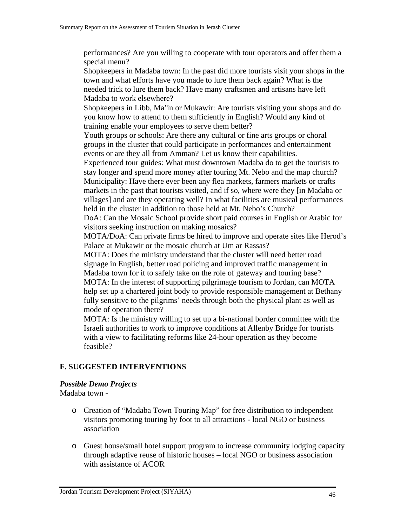performances? Are you willing to cooperate with tour operators and offer them a special menu?

Shopkeepers in Madaba town: In the past did more tourists visit your shops in the town and what efforts have you made to lure them back again? What is the needed trick to lure them back? Have many craftsmen and artisans have left Madaba to work elsewhere?

Shopkeepers in Libb, Ma'in or Mukawir: Are tourists visiting your shops and do you know how to attend to them sufficiently in English? Would any kind of training enable your employees to serve them better?

Youth groups or schools: Are there any cultural or fine arts groups or choral groups in the cluster that could participate in performances and entertainment events or are they all from Amman? Let us know their capabilities.

Experienced tour guides: What must downtown Madaba do to get the tourists to stay longer and spend more money after touring Mt. Nebo and the map church? Municipality: Have there ever been any flea markets, farmers markets or crafts markets in the past that tourists visited, and if so, where were they [in Madaba or villages] and are they operating well? In what facilities are musical performances held in the cluster in addition to those held at Mt. Nebo's Church?

DoA: Can the Mosaic School provide short paid courses in English or Arabic for visitors seeking instruction on making mosaics?

MOTA/DoA: Can private firms be hired to improve and operate sites like Herod's Palace at Mukawir or the mosaic church at Um ar Rassas?

MOTA: Does the ministry understand that the cluster will need better road signage in English, better road policing and improved traffic management in Madaba town for it to safely take on the role of gateway and touring base? MOTA: In the interest of supporting pilgrimage tourism to Jordan, can MOTA help set up a chartered joint body to provide responsible management at Bethany fully sensitive to the pilgrims' needs through both the physical plant as well as mode of operation there?

MOTA: Is the ministry willing to set up a bi-national border committee with the Israeli authorities to work to improve conditions at Allenby Bridge for tourists with a view to facilitating reforms like 24-hour operation as they become feasible?

### **F. SUGGESTED INTERVENTIONS**

#### *Possible Demo Projects*

Madaba town -

- o Creation of "Madaba Town Touring Map" for free distribution to independent visitors promoting touring by foot to all attractions - local NGO or business association
- o Guest house/small hotel support program to increase community lodging capacity through adaptive reuse of historic houses – local NGO or business association with assistance of ACOR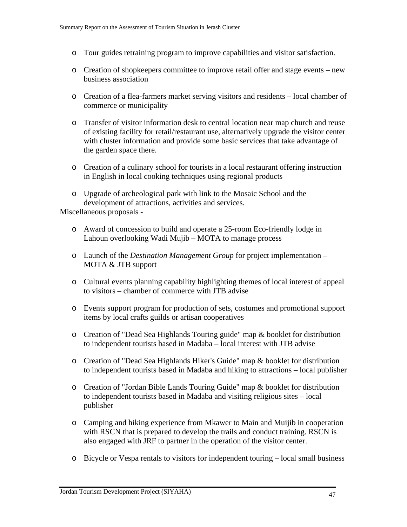- o Tour guides retraining program to improve capabilities and visitor satisfaction.
- o Creation of shopkeepers committee to improve retail offer and stage events new business association
- o Creation of a flea-farmers market serving visitors and residents local chamber of commerce or municipality
- o Transfer of visitor information desk to central location near map church and reuse of existing facility for retail/restaurant use, alternatively upgrade the visitor center with cluster information and provide some basic services that take advantage of the garden space there.
- o Creation of a culinary school for tourists in a local restaurant offering instruction in English in local cooking techniques using regional products
- o Upgrade of archeological park with link to the Mosaic School and the development of attractions, activities and services.

Miscellaneous proposals -

- o Award of concession to build and operate a 25-room Eco-friendly lodge in Lahoun overlooking Wadi Mujib – MOTA to manage process
- o Launch of the *Destination Management Group* for project implementation MOTA & JTB support
- o Cultural events planning capability highlighting themes of local interest of appeal to visitors – chamber of commerce with JTB advise
- o Events support program for production of sets, costumes and promotional support items by local crafts guilds or artisan cooperatives
- o Creation of "Dead Sea Highlands Touring guide" map & booklet for distribution to independent tourists based in Madaba – local interest with JTB advise
- o Creation of "Dead Sea Highlands Hiker's Guide" map & booklet for distribution to independent tourists based in Madaba and hiking to attractions – local publisher
- o Creation of "Jordan Bible Lands Touring Guide" map & booklet for distribution to independent tourists based in Madaba and visiting religious sites – local publisher
- o Camping and hiking experience from Mkawer to Main and Muijib in cooperation with RSCN that is prepared to develop the trails and conduct training. RSCN is also engaged with JRF to partner in the operation of the visitor center.
- o Bicycle or Vespa rentals to visitors for independent touring local small business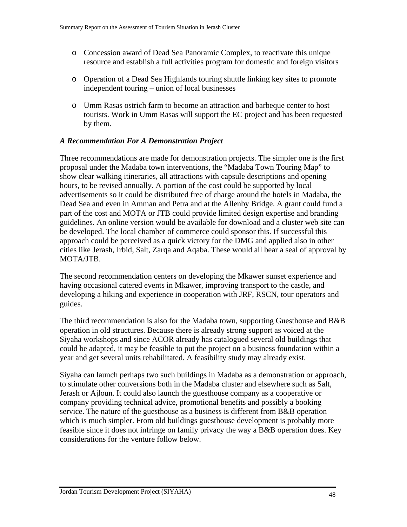- o Concession award of Dead Sea Panoramic Complex, to reactivate this unique resource and establish a full activities program for domestic and foreign visitors
- o Operation of a Dead Sea Highlands touring shuttle linking key sites to promote independent touring – union of local businesses
- o Umm Rasas ostrich farm to become an attraction and barbeque center to host tourists. Work in Umm Rasas will support the EC project and has been requested by them.

### *A Recommendation For A Demonstration Project*

Three recommendations are made for demonstration projects. The simpler one is the first proposal under the Madaba town interventions, the "Madaba Town Touring Map" to show clear walking itineraries, all attractions with capsule descriptions and opening hours, to be revised annually. A portion of the cost could be supported by local advertisements so it could be distributed free of charge around the hotels in Madaba, the Dead Sea and even in Amman and Petra and at the Allenby Bridge. A grant could fund a part of the cost and MOTA or JTB could provide limited design expertise and branding guidelines. An online version would be available for download and a cluster web site can be developed. The local chamber of commerce could sponsor this. If successful this approach could be perceived as a quick victory for the DMG and applied also in other cities like Jerash, Irbid, Salt, Zarqa and Aqaba. These would all bear a seal of approval by MOTA/JTB.

The second recommendation centers on developing the Mkawer sunset experience and having occasional catered events in Mkawer, improving transport to the castle, and developing a hiking and experience in cooperation with JRF, RSCN, tour operators and guides.

The third recommendation is also for the Madaba town, supporting Guesthouse and B&B operation in old structures. Because there is already strong support as voiced at the Siyaha workshops and since ACOR already has catalogued several old buildings that could be adapted, it may be feasible to put the project on a business foundation within a year and get several units rehabilitated. A feasibility study may already exist.

Siyaha can launch perhaps two such buildings in Madaba as a demonstration or approach, to stimulate other conversions both in the Madaba cluster and elsewhere such as Salt, Jerash or Ajloun. It could also launch the guesthouse company as a cooperative or company providing technical advice, promotional benefits and possibly a booking service. The nature of the guesthouse as a business is different from B&B operation which is much simpler. From old buildings guesthouse development is probably more feasible since it does not infringe on family privacy the way a B&B operation does. Key considerations for the venture follow below.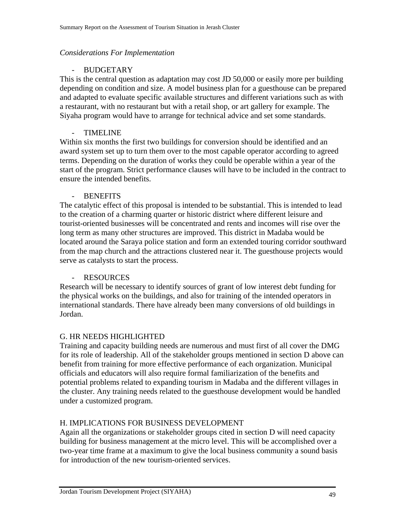#### *Considerations For Implementation*

#### **BUDGETARY**

This is the central question as adaptation may cost JD 50,000 or easily more per building depending on condition and size. A model business plan for a guesthouse can be prepared and adapted to evaluate specific available structures and different variations such as with a restaurant, with no restaurant but with a retail shop, or art gallery for example. The Siyaha program would have to arrange for technical advice and set some standards.

#### - TIMELINE

Within six months the first two buildings for conversion should be identified and an award system set up to turn them over to the most capable operator according to agreed terms. Depending on the duration of works they could be operable within a year of the start of the program. Strict performance clauses will have to be included in the contract to ensure the intended benefits.

#### **BENEFITS**

The catalytic effect of this proposal is intended to be substantial. This is intended to lead to the creation of a charming quarter or historic district where different leisure and tourist-oriented businesses will be concentrated and rents and incomes will rise over the long term as many other structures are improved. This district in Madaba would be located around the Saraya police station and form an extended touring corridor southward from the map church and the attractions clustered near it. The guesthouse projects would serve as catalysts to start the process.

#### - RESOURCES

Research will be necessary to identify sources of grant of low interest debt funding for the physical works on the buildings, and also for training of the intended operators in international standards. There have already been many conversions of old buildings in Jordan.

#### G. HR NEEDS HIGHLIGHTED

Training and capacity building needs are numerous and must first of all cover the DMG for its role of leadership. All of the stakeholder groups mentioned in section D above can benefit from training for more effective performance of each organization. Municipal officials and educators will also require formal familiarization of the benefits and potential problems related to expanding tourism in Madaba and the different villages in the cluster. Any training needs related to the guesthouse development would be handled under a customized program.

#### H. IMPLICATIONS FOR BUSINESS DEVELOPMENT

Again all the organizations or stakeholder groups cited in section D will need capacity building for business management at the micro level. This will be accomplished over a two-year time frame at a maximum to give the local business community a sound basis for introduction of the new tourism-oriented services.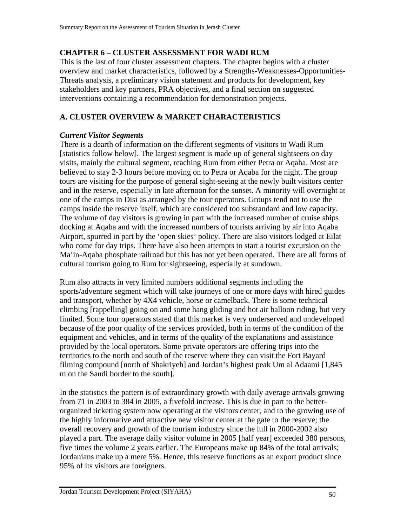### **CHAPTER 6 – CLUSTER ASSESSMENT FOR WADI RUM**

This is the last of four cluster assessment chapters. The chapter begins with a cluster overview and market characteristics, followed by a Strengths-Weaknesses-Opportunities-Threats analysis, a preliminary vision statement and products for development, key stakeholders and key partners, PRA objectives, and a final section on suggested interventions containing a recommendation for demonstration projects.

# **A. CLUSTER OVERVIEW & MARKET CHARACTERISTICS**

#### *Current Visitor Segments*

There is a dearth of information on the different segments of visitors to Wadi Rum [statistics follow below]. The largest segment is made up of general sightseers on day visits, mainly the cultural segment, reaching Rum from either Petra or Aqaba. Most are believed to stay 2-3 hours before moving on to Petra or Aqaba for the night. The group tours are visiting for the purpose of general sight-seeing at the newly built visitors center and in the reserve, especially in late afternoon for the sunset. A minority will overnight at one of the camps in Disi as arranged by the tour operators. Groups tend not to use the camps inside the reserve itself, which are considered too substandard and low capacity. The volume of day visitors is growing in part with the increased number of cruise ships docking at Aqaba and with the increased numbers of tourists arriving by air into Aqaba Airport, spurred in part by the 'open skies' policy. There are also visitors lodged at Eilat who come for day trips. There have also been attempts to start a tourist excursion on the Ma'in-Aqaba phosphate railroad but this has not yet been operated. There are all forms of cultural tourism going to Rum for sightseeing, especially at sundown.

Rum also attracts in very limited numbers additional segments including the sports/adventure segment which will take journeys of one or more days with hired guides and transport, whether by 4X4 vehicle, horse or camelback. There is some technical climbing [rappelling] going on and some hang gliding and hot air balloon riding, but very limited. Some tour operators stated that this market is very underserved and undeveloped because of the poor quality of the services provided, both in terms of the condition of the equipment and vehicles, and in terms of the quality of the explanations and assistance provided by the local operators. Some private operators are offering trips into the territories to the north and south of the reserve where they can visit the Fort Bayard filming compound [north of Shakriyeh] and Jordan's highest peak Um al Adaami [1,845 m on the Saudi border to the south].

In the statistics the pattern is of extraordinary growth with daily average arrivals growing from 71 in 2003 to 384 in 2005, a fivefold increase. This is due in part to the betterorganized ticketing system now operating at the visitors center, and to the growing use of the highly informative and attractive new visitor center at the gate to the reserve; the overall recovery and growth of the tourism industry since the lull in 2000-2002 also played a part. The average daily visitor volume in 2005 [half year] exceeded 380 persons, five times the volume 2 years earlier. The Europeans make up 84% of the total arrivals; Jordanians make up a mere 5%. Hence, this reserve functions as an export product since 95% of its visitors are foreigners.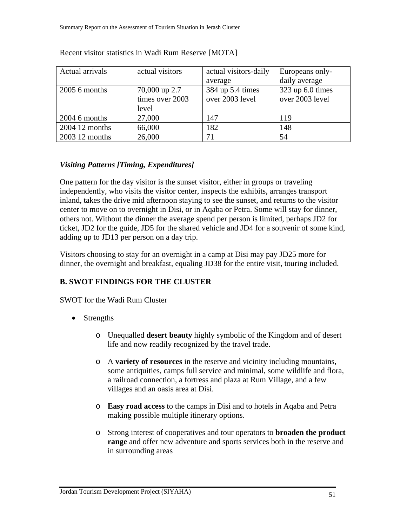| Actual arrivals | actual visitors | actual visitors-daily | Europeans only-      |
|-----------------|-----------------|-----------------------|----------------------|
|                 |                 | average               | daily average        |
| $2005$ 6 months | 70,000 up 2.7   | 384 up 5.4 times      | $323$ up $6.0$ times |
|                 | times over 2003 | over 2003 level       | over 2003 level      |
|                 | level           |                       |                      |
| $2004$ 6 months | 27,000          | 147                   | 119                  |
| 2004 12 months  | 66,000          | 182                   | 148                  |
| 2003 12 months  | 26,000          |                       | 54                   |

#### Recent visitor statistics in Wadi Rum Reserve [MOTA]

# *Visiting Patterns [Timing, Expenditures]*

One pattern for the day visitor is the sunset visitor, either in groups or traveling independently, who visits the visitor center, inspects the exhibits, arranges transport inland, takes the drive mid afternoon staying to see the sunset, and returns to the visitor center to move on to overnight in Disi, or in Aqaba or Petra. Some will stay for dinner, others not. Without the dinner the average spend per person is limited, perhaps JD2 for ticket, JD2 for the guide, JD5 for the shared vehicle and JD4 for a souvenir of some kind, adding up to JD13 per person on a day trip.

Visitors choosing to stay for an overnight in a camp at Disi may pay JD25 more for dinner, the overnight and breakfast, equaling JD38 for the entire visit, touring included.

# **B. SWOT FINDINGS FOR THE CLUSTER**

SWOT for the Wadi Rum Cluster

- Strengths
	- o Unequalled **desert beauty** highly symbolic of the Kingdom and of desert life and now readily recognized by the travel trade.
	- o A **variety of resources** in the reserve and vicinity including mountains, some antiquities, camps full service and minimal, some wildlife and flora, a railroad connection, a fortress and plaza at Rum Village, and a few villages and an oasis area at Disi.
	- o **Easy road access** to the camps in Disi and to hotels in Aqaba and Petra making possible multiple itinerary options.
	- o Strong interest of cooperatives and tour operators to **broaden the product range** and offer new adventure and sports services both in the reserve and in surrounding areas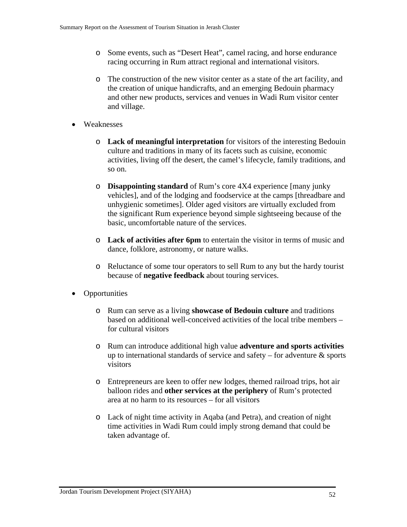- o Some events, such as "Desert Heat", camel racing, and horse endurance racing occurring in Rum attract regional and international visitors.
- o The construction of the new visitor center as a state of the art facility, and the creation of unique handicrafts, and an emerging Bedouin pharmacy and other new products, services and venues in Wadi Rum visitor center and village.
- Weaknesses
	- o **Lack of meaningful interpretation** for visitors of the interesting Bedouin culture and traditions in many of its facets such as cuisine, economic activities, living off the desert, the camel's lifecycle, family traditions, and so on.
	- o **Disappointing standard** of Rum's core 4X4 experience [many junky vehicles], and of the lodging and foodservice at the camps [threadbare and unhygienic sometimes]. Older aged visitors are virtually excluded from the significant Rum experience beyond simple sightseeing because of the basic, uncomfortable nature of the services.
	- o **Lack of activities after 6pm** to entertain the visitor in terms of music and dance, folklore, astronomy, or nature walks.
	- o Reluctance of some tour operators to sell Rum to any but the hardy tourist because of **negative feedback** about touring services.
- Opportunities
	- o Rum can serve as a living **showcase of Bedouin culture** and traditions based on additional well-conceived activities of the local tribe members – for cultural visitors
	- o Rum can introduce additional high value **adventure and sports activities** up to international standards of service and safety – for adventure  $\&$  sports visitors
	- o Entrepreneurs are keen to offer new lodges, themed railroad trips, hot air balloon rides and **other services at the periphery** of Rum's protected area at no harm to its resources – for all visitors
	- o Lack of night time activity in Aqaba (and Petra), and creation of night time activities in Wadi Rum could imply strong demand that could be taken advantage of.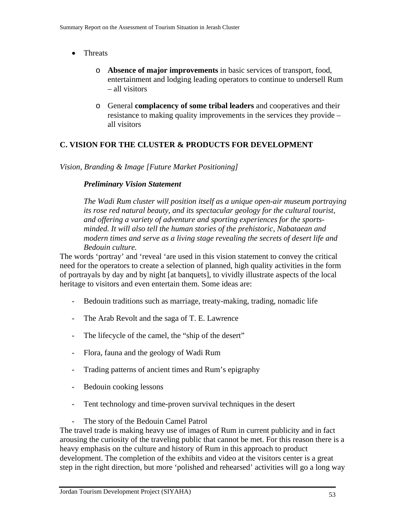- Threats
	- o **Absence of major improvements** in basic services of transport, food, entertainment and lodging leading operators to continue to undersell Rum – all visitors
	- o General **complacency of some tribal leaders** and cooperatives and their resistance to making quality improvements in the services they provide – all visitors

### **C. VISION FOR THE CLUSTER & PRODUCTS FOR DEVELOPMENT**

*Vision, Branding & Image [Future Market Positioning]* 

#### *Preliminary Vision Statement*

*The Wadi Rum cluster will position itself as a unique open-air museum portraying its rose red natural beauty, and its spectacular geology for the cultural tourist, and offering a variety of adventure and sporting experiences for the sportsminded. It will also tell the human stories of the prehistoric, Nabataean and modern times and serve as a living stage revealing the secrets of desert life and Bedouin culture.*

The words 'portray' and 'reveal 'are used in this vision statement to convey the critical need for the operators to create a selection of planned, high quality activities in the form of portrayals by day and by night [at banquets], to vividly illustrate aspects of the local heritage to visitors and even entertain them. Some ideas are:

- Bedouin traditions such as marriage, treaty-making, trading, nomadic life
- The Arab Revolt and the saga of T. E. Lawrence
- The lifecycle of the camel, the "ship of the desert"
- Flora, fauna and the geology of Wadi Rum
- Trading patterns of ancient times and Rum's epigraphy
- Bedouin cooking lessons
- Tent technology and time-proven survival techniques in the desert
- The story of the Bedouin Camel Patrol

The travel trade is making heavy use of images of Rum in current publicity and in fact arousing the curiosity of the traveling public that cannot be met. For this reason there is a heavy emphasis on the culture and history of Rum in this approach to product development. The completion of the exhibits and video at the visitors center is a great step in the right direction, but more 'polished and rehearsed' activities will go a long way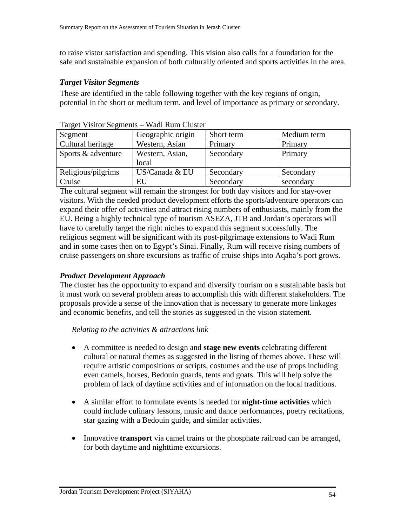to raise vistor satisfaction and spending. This vision also calls for a foundation for the safe and sustainable expansion of both culturally oriented and sports activities in the area.

#### *Target Visitor Segments*

These are identified in the table following together with the key regions of origin, potential in the short or medium term, and level of importance as primary or secondary.

| Segment            | Geographic origin | Short term | Medium term |
|--------------------|-------------------|------------|-------------|
| Cultural heritage  | Western, Asian    | Primary    | Primary     |
| Sports & adventure | Western, Asian,   | Secondary  | Primary     |
|                    | local             |            |             |
| Religious/pilgrims | US/Canada & EU    | Secondary  | Secondary   |
| Cruise             | EU                | Secondary  | secondary   |

Target Visitor Segments – Wadi Rum Cluster

The cultural segment will remain the strongest for both day visitors and for stay-over visitors. With the needed product development efforts the sports/adventure operators can expand their offer of activities and attract rising numbers of enthusiasts, mainly from the EU. Being a highly technical type of tourism ASEZA, JTB and Jordan's operators will have to carefully target the right niches to expand this segment successfully. The religious segment will be significant with its post-pilgrimage extensions to Wadi Rum and in some cases then on to Egypt's Sinai. Finally, Rum will receive rising numbers of cruise passengers on shore excursions as traffic of cruise ships into Aqaba's port grows.

#### *Product Development Approach*

The cluster has the opportunity to expand and diversify tourism on a sustainable basis but it must work on several problem areas to accomplish this with different stakeholders. The proposals provide a sense of the innovation that is necessary to generate more linkages and economic benefits, and tell the stories as suggested in the vision statement.

#### *Relating to the activities & attractions link*

- A committee is needed to design and **stage new events** celebrating different cultural or natural themes as suggested in the listing of themes above. These will require artistic compositions or scripts, costumes and the use of props including even camels, horses, Bedouin guards, tents and goats. This will help solve the problem of lack of daytime activities and of information on the local traditions.
- A similar effort to formulate events is needed for **night-time activities** which could include culinary lessons, music and dance performances, poetry recitations, star gazing with a Bedouin guide, and similar activities.
- Innovative **transport** via camel trains or the phosphate railroad can be arranged, for both daytime and nighttime excursions.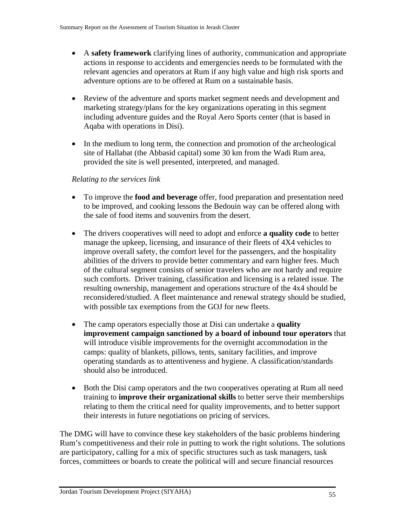- A **safety framework** clarifying lines of authority, communication and appropriate actions in response to accidents and emergencies needs to be formulated with the relevant agencies and operators at Rum if any high value and high risk sports and adventure options are to be offered at Rum on a sustainable basis.
- Review of the adventure and sports market segment needs and development and marketing strategy/plans for the key organizations operating in this segment including adventure guides and the Royal Aero Sports center (that is based in Aqaba with operations in Disi).
- In the medium to long term, the connection and promotion of the archeological site of Hallabat (the Abbasid capital) some 30 km from the Wadi Rum area, provided the site is well presented, interpreted, and managed.

### *Relating to the services link*

- To improve the **food and beverage** offer, food preparation and presentation need to be improved, and cooking lessons the Bedouin way can be offered along with the sale of food items and souvenirs from the desert.
- The drivers cooperatives will need to adopt and enforce **a quality code** to better manage the upkeep, licensing, and insurance of their fleets of 4X4 vehicles to improve overall safety, the comfort level for the passengers, and the hospitality abilities of the drivers to provide better commentary and earn higher fees. Much of the cultural segment consists of senior travelers who are not hardy and require such comforts. Driver training, classification and licensing is a related issue. The resulting ownership, management and operations structure of the 4x4 should be reconsidered/studied. A fleet maintenance and renewal strategy should be studied, with possible tax exemptions from the GOJ for new fleets.
- The camp operators especially those at Disi can undertake a **quality improvement campaign sanctioned by a board of inbound tour operators** that will introduce visible improvements for the overnight accommodation in the camps: quality of blankets, pillows, tents, sanitary facilities, and improve operating standards as to attentiveness and hygiene. A classification/standards should also be introduced.
- Both the Disi camp operators and the two cooperatives operating at Rum all need training to **improve their organizational skills** to better serve their memberships relating to them the critical need for quality improvements, and to better support their interests in future negotiations on pricing of services.

The DMG will have to convince these key stakeholders of the basic problems hindering Rum's competitiveness and their role in putting to work the right solutions. The solutions are participatory, calling for a mix of specific structures such as task managers, task forces, committees or boards to create the political will and secure financial resources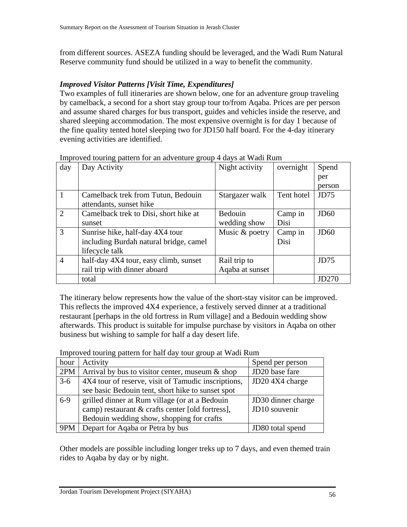from different sources. ASEZA funding should be leveraged, and the Wadi Rum Natural Reserve community fund should be utilized in a way to benefit the community.

#### *Improved Visitor Patterns [Visit Time, Expenditures]*

Two examples of full itineraries are shown below, one for an adventure group traveling by camelback, a second for a short stay group tour to/from Aqaba. Prices are per person and assume shared charges for bus transport, guides and vehicles inside the reserve, and shared sleeping accommodation. The most expensive overnight is for day 1 because of the fine quality tented hotel sleeping two for JD150 half board. For the 4-day itinerary evening activities are identified.

| day                         | Day Activity                           | Night activity  | overnight  | Spend            |
|-----------------------------|----------------------------------------|-----------------|------------|------------------|
|                             |                                        |                 |            | per              |
|                             |                                        |                 |            | person           |
|                             | Camelback trek from Tutun, Bedouin     | Stargazer walk  | Tent hotel | JD75             |
|                             | attendants, sunset hike                |                 |            |                  |
| $\mathcal{D}_{\mathcal{L}}$ | Camelback trek to Disi, short hike at  | Bedouin         | Camp in    | J <sub>D60</sub> |
|                             | sunset                                 | wedding show    | Disi       |                  |
| 3                           | Sunrise hike, half-day 4X4 tour        | Music & poetry  | Camp in    | JD60             |
|                             | including Burdah natural bridge, camel |                 | Disi       |                  |
|                             | lifecycle talk                         |                 |            |                  |
| $\overline{4}$              | half-day 4X4 tour, easy climb, sunset  | Rail trip to    |            | JD75             |
|                             | rail trip with dinner aboard           | Agaba at sunset |            |                  |
|                             | total                                  |                 |            | JD270            |

Improved touring pattern for an adventure group 4 days at Wadi Rum

The itinerary below represents how the value of the short-stay visitor can be improved. This reflects the improved 4X4 experience, a festively served dinner at a traditional restaurant [perhaps in the old fortress in Rum village] and a Bedouin wedding show afterwards. This product is suitable for impulse purchase by visitors in Aqaba on other business but wishing to sample for half a day desert life.

Improved touring pattern for half day tour group at Wadi Rum

| hour  | Activity                                            | Spend per person   |
|-------|-----------------------------------------------------|--------------------|
| 2PM   | Arrival by bus to visitor center, museum $\&$ shop  | JD20 base fare     |
| $3-6$ | 4X4 tour of reserve, visit of Tamudic inscriptions, | JD20 4X4 charge    |
|       | see basic Bedouin tent, short hike to sunset spot   |                    |
| $6-9$ | grilled dinner at Rum village (or at a Bedouin      | JD30 dinner charge |
|       | camp) restaurant & crafts center [old fortress],    | JD10 souvenir      |
|       | Bedouin wedding show, shopping for crafts           |                    |
| 9PM   | Depart for Aqaba or Petra by bus                    | JD80 total spend   |

Other models are possible including longer treks up to 7 days, and even themed train rides to Aqaba by day or by night.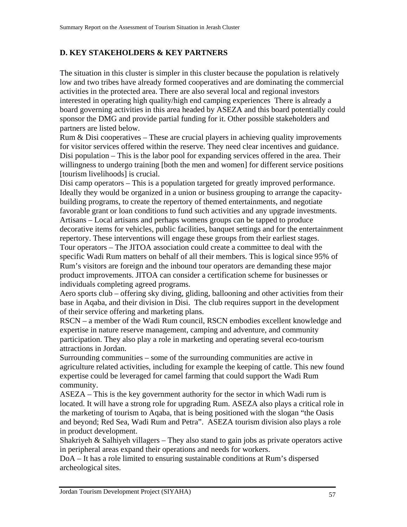# **D. KEY STAKEHOLDERS & KEY PARTNERS**

The situation in this cluster is simpler in this cluster because the population is relatively low and two tribes have already formed cooperatives and are dominating the commercial activities in the protected area. There are also several local and regional investors interested in operating high quality/high end camping experiences There is already a board governing activities in this area headed by ASEZA and this board potentially could sponsor the DMG and provide partial funding for it. Other possible stakeholders and partners are listed below.

Rum  $\&$  Disi cooperatives – These are crucial players in achieving quality improvements for visitor services offered within the reserve. They need clear incentives and guidance. Disi population – This is the labor pool for expanding services offered in the area. Their willingness to undergo training [both the men and women] for different service positions [tourism livelihoods] is crucial.

Disi camp operators – This is a population targeted for greatly improved performance. Ideally they would be organized in a union or business grouping to arrange the capacitybuilding programs, to create the repertory of themed entertainments, and negotiate favorable grant or loan conditions to fund such activities and any upgrade investments. Artisans – Local artisans and perhaps womens groups can be tapped to produce decorative items for vehicles, public facilities, banquet settings and for the entertainment repertory. These interventions will engage these groups from their earliest stages. Tour operators – The JITOA association could create a committee to deal with the specific Wadi Rum matters on behalf of all their members. This is logical since 95% of Rum's visitors are foreign and the inbound tour operators are demanding these major product improvements. JITOA can consider a certification scheme for businesses or individuals completing agreed programs.

Aero sports club – offering sky diving, gliding, ballooning and other activities from their base in Aqaba, and their division in Disi. The club requires support in the development of their service offering and marketing plans.

RSCN – a member of the Wadi Rum council, RSCN embodies excellent knowledge and expertise in nature reserve management, camping and adventure, and community participation. They also play a role in marketing and operating several eco-tourism attractions in Jordan.

Surrounding communities – some of the surrounding communities are active in agriculture related activities, including for example the keeping of cattle. This new found expertise could be leveraged for camel farming that could support the Wadi Rum community.

ASEZA – This is the key government authority for the sector in which Wadi rum is located. It will have a strong role for upgrading Rum. ASEZA also plays a critical role in the marketing of tourism to Aqaba, that is being positioned with the slogan "the Oasis and beyond; Red Sea, Wadi Rum and Petra". ASEZA tourism division also plays a role in product development.

Shakriyeh & Salhiyeh villagers – They also stand to gain jobs as private operators active in peripheral areas expand their operations and needs for workers.

DoA – It has a role limited to ensuring sustainable conditions at Rum's dispersed archeological sites.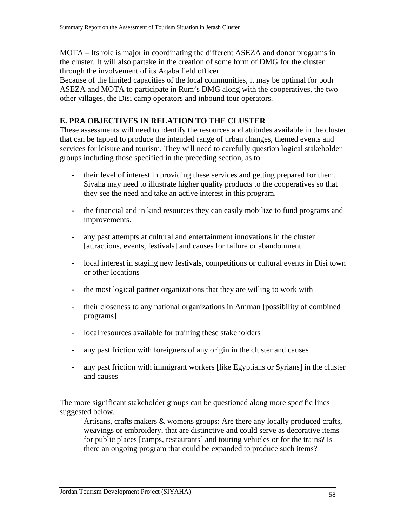MOTA – Its role is major in coordinating the different ASEZA and donor programs in the cluster. It will also partake in the creation of some form of DMG for the cluster through the involvement of its Aqaba field officer.

Because of the limited capacities of the local communities, it may be optimal for both ASEZA and MOTA to participate in Rum's DMG along with the cooperatives, the two other villages, the Disi camp operators and inbound tour operators.

### **E. PRA OBJECTIVES IN RELATION TO THE CLUSTER**

These assessments will need to identify the resources and attitudes available in the cluster that can be tapped to produce the intended range of urban changes, themed events and services for leisure and tourism. They will need to carefully question logical stakeholder groups including those specified in the preceding section, as to

- their level of interest in providing these services and getting prepared for them. Siyaha may need to illustrate higher quality products to the cooperatives so that they see the need and take an active interest in this program.
- the financial and in kind resources they can easily mobilize to fund programs and improvements.
- any past attempts at cultural and entertainment innovations in the cluster [attractions, events, festivals] and causes for failure or abandonment
- local interest in staging new festivals, competitions or cultural events in Disi town or other locations
- the most logical partner organizations that they are willing to work with
- their closeness to any national organizations in Amman [possibility of combined programs]
- local resources available for training these stakeholders
- any past friction with foreigners of any origin in the cluster and causes
- any past friction with immigrant workers [like Egyptians or Syrians] in the cluster and causes

The more significant stakeholder groups can be questioned along more specific lines suggested below.

Artisans, crafts makers & womens groups: Are there any locally produced crafts, weavings or embroidery, that are distinctive and could serve as decorative items for public places [camps, restaurants] and touring vehicles or for the trains? Is there an ongoing program that could be expanded to produce such items?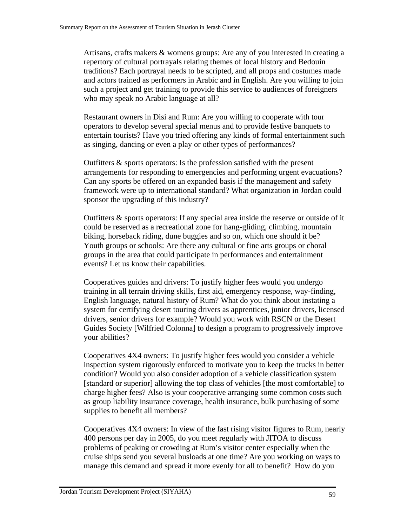Artisans, crafts makers & womens groups: Are any of you interested in creating a repertory of cultural portrayals relating themes of local history and Bedouin traditions? Each portrayal needs to be scripted, and all props and costumes made and actors trained as performers in Arabic and in English. Are you willing to join such a project and get training to provide this service to audiences of foreigners who may speak no Arabic language at all?

Restaurant owners in Disi and Rum: Are you willing to cooperate with tour operators to develop several special menus and to provide festive banquets to entertain tourists? Have you tried offering any kinds of formal entertainment such as singing, dancing or even a play or other types of performances?

Outfitters & sports operators: Is the profession satisfied with the present arrangements for responding to emergencies and performing urgent evacuations? Can any sports be offered on an expanded basis if the management and safety framework were up to international standard? What organization in Jordan could sponsor the upgrading of this industry?

Outfitters & sports operators: If any special area inside the reserve or outside of it could be reserved as a recreational zone for hang-gliding, climbing, mountain biking, horseback riding, dune buggies and so on, which one should it be? Youth groups or schools: Are there any cultural or fine arts groups or choral groups in the area that could participate in performances and entertainment events? Let us know their capabilities.

Cooperatives guides and drivers: To justify higher fees would you undergo training in all terrain driving skills, first aid, emergency response, way-finding, English language, natural history of Rum? What do you think about instating a system for certifying desert touring drivers as apprentices, junior drivers, licensed drivers, senior drivers for example? Would you work with RSCN or the Desert Guides Society [Wilfried Colonna] to design a program to progressively improve your abilities?

Cooperatives 4X4 owners: To justify higher fees would you consider a vehicle inspection system rigorously enforced to motivate you to keep the trucks in better condition? Would you also consider adoption of a vehicle classification system [standard or superior] allowing the top class of vehicles [the most comfortable] to charge higher fees? Also is your cooperative arranging some common costs such as group liability insurance coverage, health insurance, bulk purchasing of some supplies to benefit all members?

Cooperatives 4X4 owners: In view of the fast rising visitor figures to Rum, nearly 400 persons per day in 2005, do you meet regularly with JITOA to discuss problems of peaking or crowding at Rum's visitor center especially when the cruise ships send you several busloads at one time? Are you working on ways to manage this demand and spread it more evenly for all to benefit? How do you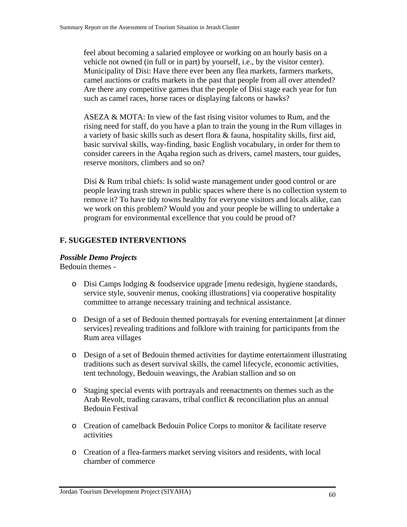feel about becoming a salaried employee or working on an hourly basis on a vehicle not owned (in full or in part) by yourself, i.e., by the visitor center). Municipality of Disi: Have there ever been any flea markets, farmers markets, camel auctions or crafts markets in the past that people from all over attended? Are there any competitive games that the people of Disi stage each year for fun such as camel races, horse races or displaying falcons or hawks?

ASEZA & MOTA: In view of the fast rising visitor volumes to Rum, and the rising need for staff, do you have a plan to train the young in the Rum villages in a variety of basic skills such as desert flora & fauna, hospitality skills, first aid, basic survival skills, way-finding, basic English vocabulary, in order for them to consider careers in the Aqaba region such as drivers, camel masters, tour guides, reserve monitors, climbers and so on?

Disi & Rum tribal chiefs: Is solid waste management under good control or are people leaving trash strewn in public spaces where there is no collection system to remove it? To have tidy towns healthy for everyone visitors and locals alike, can we work on this problem? Would you and your people be willing to undertake a program for environmental excellence that you could be proud of?

### **F. SUGGESTED INTERVENTIONS**

#### *Possible Demo Projects*

Bedouin themes -

- o Disi Camps lodging & foodservice upgrade [menu redesign, hygiene standards, service style, souvenir menus, cooking illustrations] via cooperative hospitality committee to arrange necessary training and technical assistance.
- o Design of a set of Bedouin themed portrayals for evening entertainment [at dinner services] revealing traditions and folklore with training for participants from the Rum area villages
- o Design of a set of Bedouin themed activities for daytime entertainment illustrating traditions such as desert survival skills, the camel lifecycle, economic activities, tent technology, Bedouin weavings, the Arabian stallion and so on
- o Staging special events with portrayals and reenactments on themes such as the Arab Revolt, trading caravans, tribal conflict & reconciliation plus an annual Bedouin Festival
- o Creation of camelback Bedouin Police Corps to monitor & facilitate reserve activities
- o Creation of a flea-farmers market serving visitors and residents, with local chamber of commerce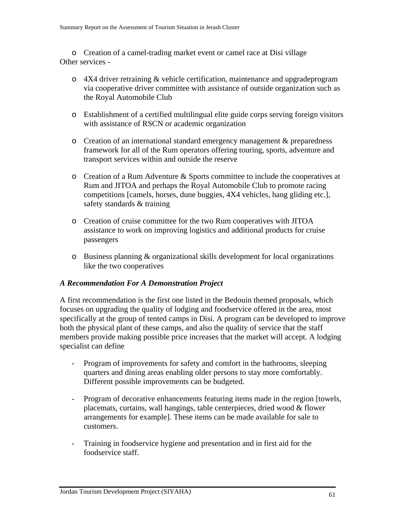o Creation of a camel-trading market event or camel race at Disi village Other services -

- o 4X4 driver retraining & vehicle certification, maintenance and upgradeprogram via cooperative driver committee with assistance of outside organization such as the Royal Automobile Club
- o Establishment of a certified multilingual elite guide corps serving foreign visitors with assistance of RSCN or academic organization
- o Creation of an international standard emergency management & preparedness framework for all of the Rum operators offering touring, sports, adventure and transport services within and outside the reserve
- o Creation of a Rum Adventure & Sports committee to include the cooperatives at Rum and JITOA and perhaps the Royal Automobile Club to promote racing competitions [camels, horses, dune buggies, 4X4 vehicles, hang gliding etc.], safety standards & training
- o Creation of cruise committee for the two Rum cooperatives with JITOA assistance to work on improving logistics and additional products for cruise passengers
- o Business planning & organizational skills development for local organizations like the two cooperatives

#### *A Recommendation For A Demonstration Project*

A first recommendation is the first one listed in the Bedouin themed proposals, which focuses on upgrading the quality of lodging and foodservice offered in the area, most specifically at the group of tented camps in Disi. A program can be developed to improve both the physical plant of these camps, and also the quality of service that the staff members provide making possible price increases that the market will accept. A lodging specialist can define

- Program of improvements for safety and comfort in the bathrooms, sleeping quarters and dining areas enabling older persons to stay more comfortably. Different possible improvements can be budgeted.
- Program of decorative enhancements featuring items made in the region [towels, placemats, curtains, wall hangings, table centerpieces, dried wood & flower arrangements for example]. These items can be made available for sale to customers.
- Training in foodservice hygiene and presentation and in first aid for the foodservice staff.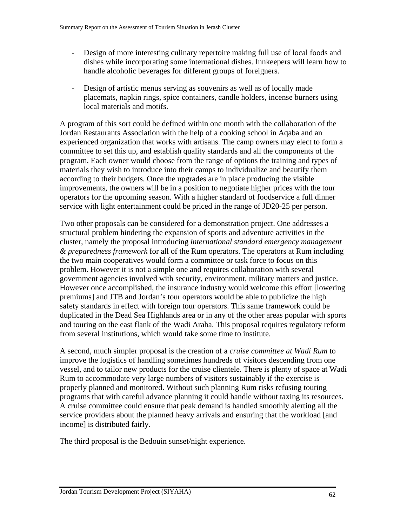- Design of more interesting culinary repertoire making full use of local foods and dishes while incorporating some international dishes. Innkeepers will learn how to handle alcoholic beverages for different groups of foreigners.
- Design of artistic menus serving as souvenirs as well as of locally made placemats, napkin rings, spice containers, candle holders, incense burners using local materials and motifs.

A program of this sort could be defined within one month with the collaboration of the Jordan Restaurants Association with the help of a cooking school in Aqaba and an experienced organization that works with artisans. The camp owners may elect to form a committee to set this up, and establish quality standards and all the components of the program. Each owner would choose from the range of options the training and types of materials they wish to introduce into their camps to individualize and beautify them according to their budgets. Once the upgrades are in place producing the visible improvements, the owners will be in a position to negotiate higher prices with the tour operators for the upcoming season. With a higher standard of foodservice a full dinner service with light entertainment could be priced in the range of JD20-25 per person.

Two other proposals can be considered for a demonstration project. One addresses a structural problem hindering the expansion of sports and adventure activities in the cluster, namely the proposal introducing *international standard emergency management & preparedness framework* for all of the Rum operators. The operators at Rum including the two main cooperatives would form a committee or task force to focus on this problem. However it is not a simple one and requires collaboration with several government agencies involved with security, environment, military matters and justice. However once accomplished, the insurance industry would welcome this effort [lowering premiums] and JTB and Jordan's tour operators would be able to publicize the high safety standards in effect with foreign tour operators. This same framework could be duplicated in the Dead Sea Highlands area or in any of the other areas popular with sports and touring on the east flank of the Wadi Araba. This proposal requires regulatory reform from several institutions, which would take some time to institute.

A second, much simpler proposal is the creation of a *cruise committee at Wadi Rum* to improve the logistics of handling sometimes hundreds of visitors descending from one vessel, and to tailor new products for the cruise clientele. There is plenty of space at Wadi Rum to accommodate very large numbers of visitors sustainably if the exercise is properly planned and monitored. Without such planning Rum risks refusing touring programs that with careful advance planning it could handle without taxing its resources. A cruise committee could ensure that peak demand is handled smoothly alerting all the service providers about the planned heavy arrivals and ensuring that the workload [and income] is distributed fairly.

The third proposal is the Bedouin sunset/night experience.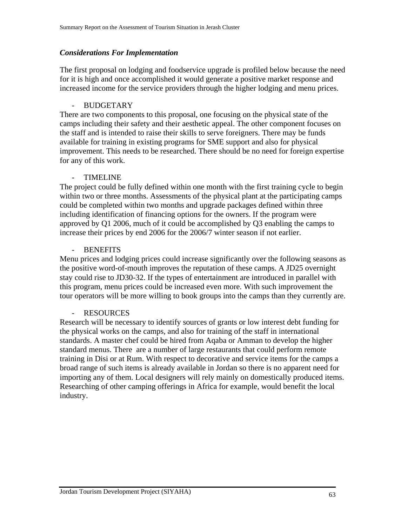#### *Considerations For Implementation*

The first proposal on lodging and foodservice upgrade is profiled below because the need for it is high and once accomplished it would generate a positive market response and increased income for the service providers through the higher lodging and menu prices.

#### **BUDGETARY**

There are two components to this proposal, one focusing on the physical state of the camps including their safety and their aesthetic appeal. The other component focuses on the staff and is intended to raise their skills to serve foreigners. There may be funds available for training in existing programs for SME support and also for physical improvement. This needs to be researched. There should be no need for foreign expertise for any of this work.

#### - TIMELINE

The project could be fully defined within one month with the first training cycle to begin within two or three months. Assessments of the physical plant at the participating camps could be completed within two months and upgrade packages defined within three including identification of financing options for the owners. If the program were approved by Q1 2006, much of it could be accomplished by Q3 enabling the camps to increase their prices by end 2006 for the 2006/7 winter season if not earlier.

#### - BENEFITS

Menu prices and lodging prices could increase significantly over the following seasons as the positive word-of-mouth improves the reputation of these camps. A JD25 overnight stay could rise to JD30-32. If the types of entertainment are introduced in parallel with this program, menu prices could be increased even more. With such improvement the tour operators will be more willing to book groups into the camps than they currently are.

#### - RESOURCES

Research will be necessary to identify sources of grants or low interest debt funding for the physical works on the camps, and also for training of the staff in international standards. A master chef could be hired from Aqaba or Amman to develop the higher standard menus. There are a number of large restaurants that could perform remote training in Disi or at Rum. With respect to decorative and service items for the camps a broad range of such items is already available in Jordan so there is no apparent need for importing any of them. Local designers will rely mainly on domestically produced items. Researching of other camping offerings in Africa for example, would benefit the local industry.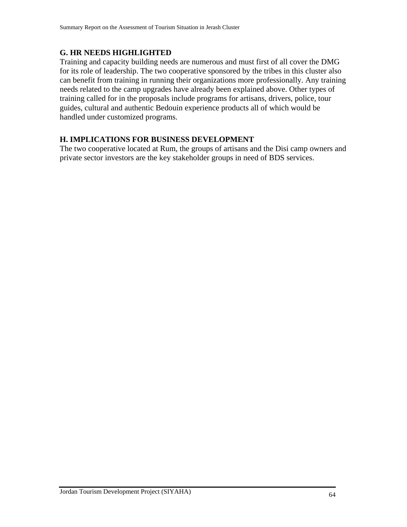### **G. HR NEEDS HIGHLIGHTED**

Training and capacity building needs are numerous and must first of all cover the DMG for its role of leadership. The two cooperative sponsored by the tribes in this cluster also can benefit from training in running their organizations more professionally. Any training needs related to the camp upgrades have already been explained above. Other types of training called for in the proposals include programs for artisans, drivers, police, tour guides, cultural and authentic Bedouin experience products all of which would be handled under customized programs.

### **H. IMPLICATIONS FOR BUSINESS DEVELOPMENT**

The two cooperative located at Rum, the groups of artisans and the Disi camp owners and private sector investors are the key stakeholder groups in need of BDS services.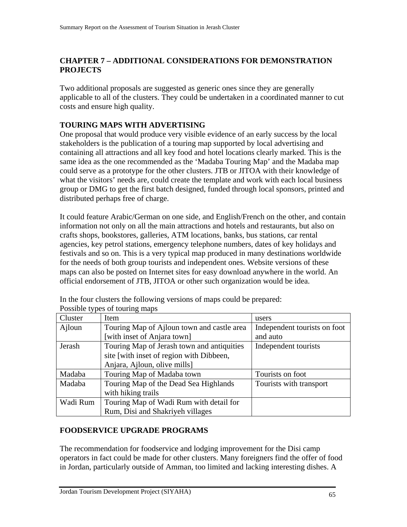### **CHAPTER 7 – ADDITIONAL CONSIDERATIONS FOR DEMONSTRATION PROJECTS**

Two additional proposals are suggested as generic ones since they are generally applicable to all of the clusters. They could be undertaken in a coordinated manner to cut costs and ensure high quality.

### **TOURING MAPS WITH ADVERTISING**

One proposal that would produce very visible evidence of an early success by the local stakeholders is the publication of a touring map supported by local advertising and containing all attractions and all key food and hotel locations clearly marked. This is the same idea as the one recommended as the 'Madaba Touring Map' and the Madaba map could serve as a prototype for the other clusters. JTB or JITOA with their knowledge of what the visitors' needs are, could create the template and work with each local business group or DMG to get the first batch designed, funded through local sponsors, printed and distributed perhaps free of charge.

It could feature Arabic/German on one side, and English/French on the other, and contain information not only on all the main attractions and hotels and restaurants, but also on crafts shops, bookstores, galleries, ATM locations, banks, bus stations, car rental agencies, key petrol stations, emergency telephone numbers, dates of key holidays and festivals and so on. This is a very typical map produced in many destinations worldwide for the needs of both group tourists and independent ones. Website versions of these maps can also be posted on Internet sites for easy download anywhere in the world. An official endorsement of JTB, JITOA or other such organization would be idea.

| Cluster  | Item                                       | users                        |
|----------|--------------------------------------------|------------------------------|
| Ajloun   | Touring Map of Ajloun town and castle area | Independent tourists on foot |
|          | [with inset of Anjara town]                | and auto                     |
| Jerash   | Touring Map of Jerash town and antiquities | Independent tourists         |
|          | site [with inset of region with Dibbeen,   |                              |
|          | Anjara, Ajloun, olive mills]               |                              |
| Madaba   | Touring Map of Madaba town                 | Tourists on foot             |
| Madaba   | Touring Map of the Dead Sea Highlands      | Tourists with transport      |
|          | with hiking trails                         |                              |
| Wadi Rum | Touring Map of Wadi Rum with detail for    |                              |
|          | Rum, Disi and Shakriyeh villages           |                              |

In the four clusters the following versions of maps could be prepared: Possible types of touring maps

#### **FOODSERVICE UPGRADE PROGRAMS**

The recommendation for foodservice and lodging improvement for the Disi camp operators in fact could be made for other clusters. Many foreigners find the offer of food in Jordan, particularly outside of Amman, too limited and lacking interesting dishes. A